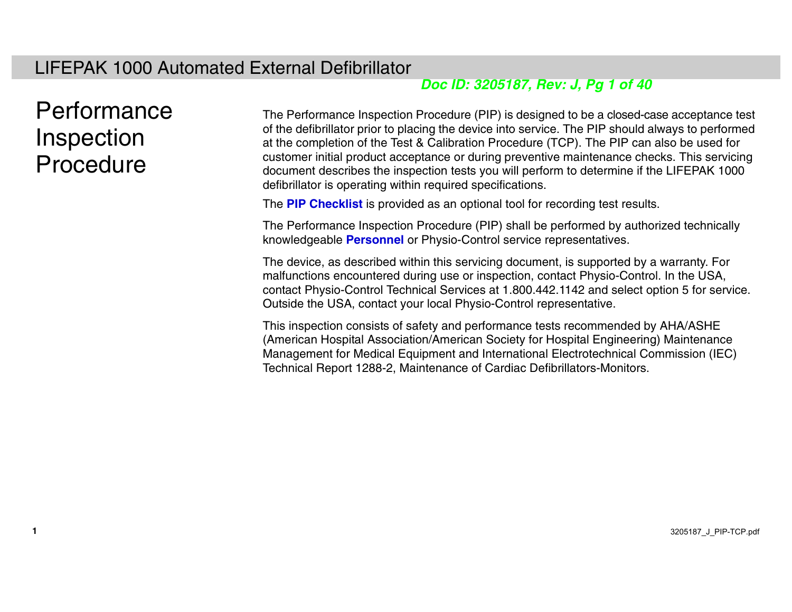#### <span id="page-0-0"></span>LIFEPAK 1000 Automated External Defibrillator

#### *Doc ID: 3205187, Rev: J, Pg 1 of 40*

### Performance **Inspection** Procedure

**1**

The Performance Inspection Procedure (PIP) is designed to be a closed-case acceptance test of the defibrillator prior to placing the device into service. The PIP should always to performed at the completion of the Test & Calibration Procedure (TCP). The PIP can also be used for customer initial product acceptance or during preventive maintenance checks. This servicing document describes the inspection tests you will perform to determine if the LIFEPAK 1000 defibrillator is operating within required specifications.

The **[PIP Checklist](#page--1-0)** is provided as an optional tool for recording test results.

The Performance Inspection Procedure (PIP) shall be performed by authorized technically knowledgeable **[Personnel](#page-3-0)** or Physio-Control service representatives.

The device, as described within this servicing document, is supported by a warranty. For malfunctions encountered during use or inspection, contact Physio-Control. In the USA, contact Physio-Control Technical Services at 1.800.442.1142 and select option 5 for service. Outside the USA, contact your local Physio-Control representative.

This inspection consists of safety and performance tests recommended by AHA/ASHE (American Hospital Association/American Society for Hospital Engineering) Maintenance Management for Medical Equipment and International Electrotechnical Commission (IEC) Technical Report 1288-2, Maintenance of Cardiac Defibrillators-Monitors.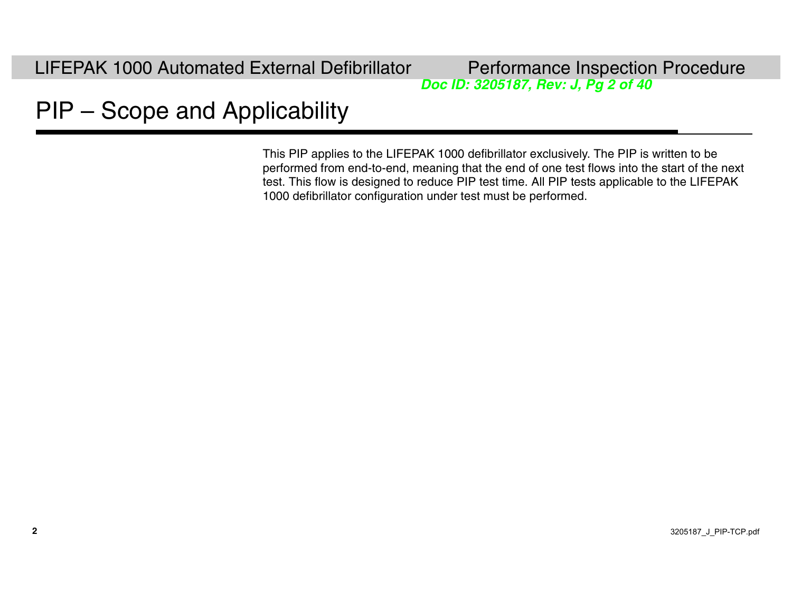*Doc ID: 3205187, Rev: J, Pg 2 of 40*

# PIP – Scope and Applicability

This PIP applies to the LIFEPAK 1000 defibrillator exclusively. The PIP is written to be performed from end-to-end, meaning that the end of one test flows into the start of the next test. This flow is designed to reduce PIP test time. All PIP tests applicable to the LIFEPAK 1000 defibrillator configuration under test must be performed.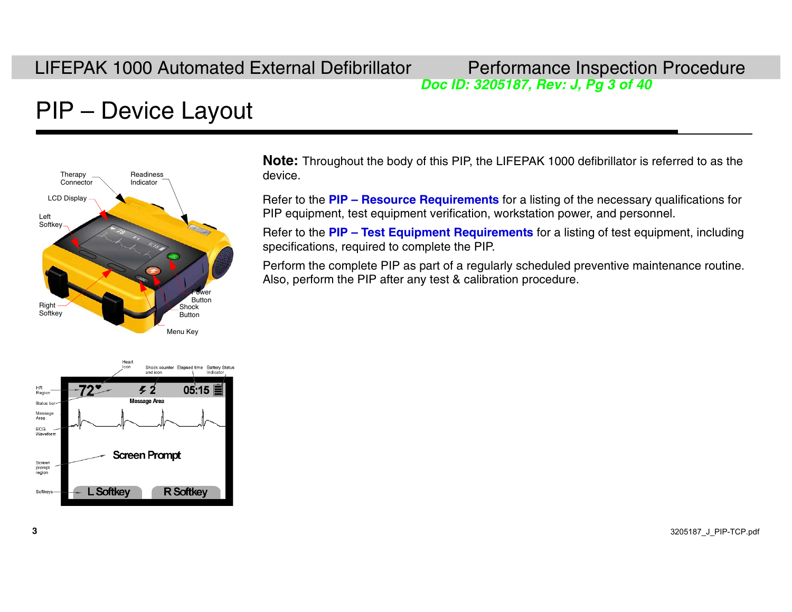*Doc ID: 3205187, Rev: J, Pg 3 of 40*

# PIP – Device Layout



**Note:** Throughout the body of this PIP, the LIFEPAK 1000 defibrillator is referred to as the device.

Refer to the **[PIP – Resource Requirements](#page-3-0)** for a listing of the necessary qualifications for PIP equipment, test equipment verification, workstation power, and personnel.

Refer to the **[PIP – Test Equipment Requirements](#page-4-0)** for a listing of test equipment, including specifications, required to complete the PIP.

Perform the complete PIP as part of a regularly scheduled preventive maintenance routine. Also, perform the PIP after any test & calibration procedure.

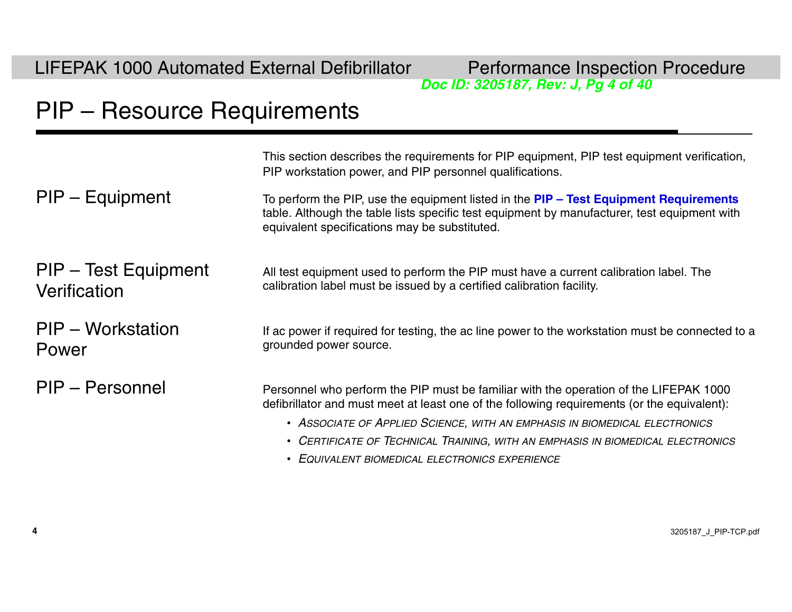LIFEPAK 1000 Automated External Defibrillator Performance Inspection Procedure

*Doc ID: 3205187, Rev: J, Pg 4 of 40*

### <span id="page-3-0"></span>PIP – Resource Requirements

This section describes the requirements for PIP equipment, PIP test equipment verification, PIP workstation power, and PIP personnel qualifications. PIP – Equipment To perform the PIP, use the equipment listed in the **[PIP – Test Equipment Requirements](#page-4-0)** table. Although the table lists specific test equipment by manufacturer, test equipment with equivalent specifications may be substituted. PIP – Test Equipment **Verification** All test equipment used to perform the PIP must have a current calibration label. The calibration label must be issued by a certified calibration facility. PIP – Workstation PowerIf ac power if required for testing, the ac line power to the workstation must be connected to a grounded power source. PIP – Personnel **Personnel Personnel who perform the PIP** must be familiar with the operation of the LIFEPAK 1000 defibrillator and must meet at least one of the following requirements (or the equivalent): • *ASSOCIATE OF APPLIED SCIENCE, WITH AN EMPHASIS IN BIOMEDICAL ELECTRONICS*

- *CERTIFICATE OF TECHNICAL TRAINING, WITH AN EMPHASIS IN BIOMEDICAL ELECTRONICS*
- *EQUIVALENT BIOMEDICAL ELECTRONICS EXPERIENCE*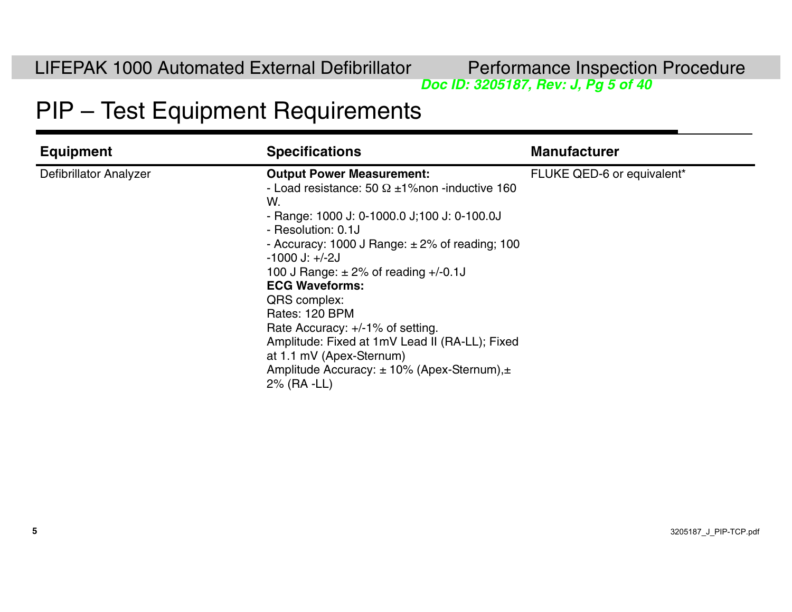*Doc ID: 3205187, Rev: J, Pg 5 of 40*

### <span id="page-4-0"></span>PIP – Test Equipment Requirements

| <b>Equipment</b>              | <b>Specifications</b>                                                                                                                                                                                                                                                                                                                                                                                                                                                                                                                              | <b>Manufacturer</b>        |
|-------------------------------|----------------------------------------------------------------------------------------------------------------------------------------------------------------------------------------------------------------------------------------------------------------------------------------------------------------------------------------------------------------------------------------------------------------------------------------------------------------------------------------------------------------------------------------------------|----------------------------|
| <b>Defibrillator Analyzer</b> | <b>Output Power Measurement:</b><br>- Load resistance: 50 $\Omega$ ±1% non -inductive 160<br>W.<br>- Range: 1000 J: 0-1000.0 J; 100 J: 0-100.0J<br>- Resolution: 0.1J<br>- Accuracy: 1000 J Range: $\pm 2\%$ of reading; 100<br>$-1000$ J: $+/-2J$<br>100 J Range: $\pm 2\%$ of reading +/-0.1J<br><b>ECG Waveforms:</b><br>QRS complex:<br>Rates: 120 BPM<br>Rate Accuracy: +/-1% of setting.<br>Amplitude: Fixed at 1mV Lead II (RA-LL); Fixed<br>at 1.1 mV (Apex-Sternum)<br>Amplitude Accuracy: $\pm$ 10% (Apex-Sternum), $\pm$<br>2% (RA -LL) | FLUKE QED-6 or equivalent* |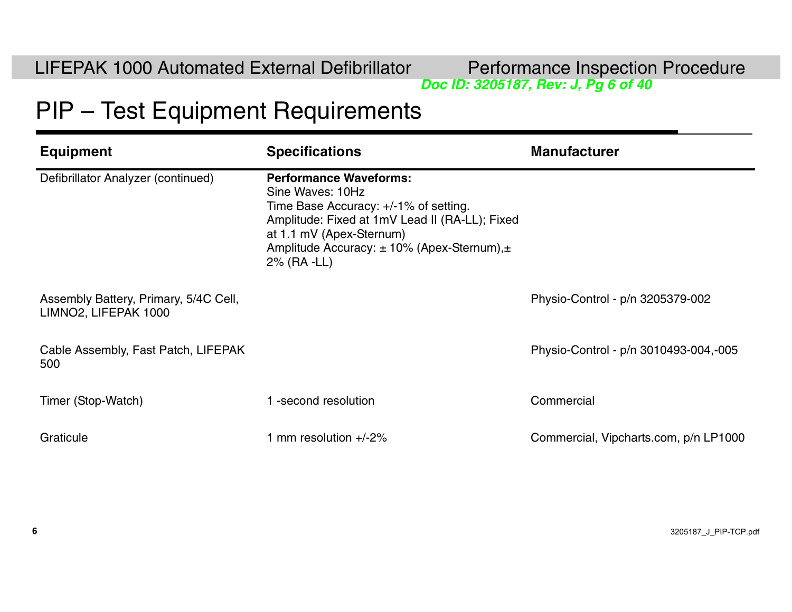**Performance Inspection Procedure**<br>*Doc ID: 3205187, Rev: J, Pg 6 of 40* 

### PIP – Test Equipment Requirements

| <b>Equipment</b>                                              | <b>Specifications</b>                                                                                                                                                                                                                    | <b>Manufacturer</b>                   |
|---------------------------------------------------------------|------------------------------------------------------------------------------------------------------------------------------------------------------------------------------------------------------------------------------------------|---------------------------------------|
| Defibrillator Analyzer (continued)                            | <b>Performance Waveforms:</b><br>Sine Waves: 10Hz<br>Time Base Accuracy: +/-1% of setting.<br>Amplitude: Fixed at 1mV Lead II (RA-LL); Fixed<br>at 1.1 mV (Apex-Sternum)<br>Amplitude Accuracy: ± 10% (Apex-Sternum),±<br>$2\%$ (RA -LL) |                                       |
| Assembly Battery, Primary, 5/4C Cell,<br>LIMNO2, LIFEPAK 1000 |                                                                                                                                                                                                                                          | Physio-Control - p/n 3205379-002      |
| Cable Assembly, Fast Patch, LIFEPAK<br>500                    |                                                                                                                                                                                                                                          | Physio-Control - p/n 3010493-004,-005 |
| Timer (Stop-Watch)                                            | -second resolution                                                                                                                                                                                                                       | Commercial                            |
| Graticule                                                     | mm resolution $+/-2\%$                                                                                                                                                                                                                   | Commercial, Vipcharts.com, p/n LP1000 |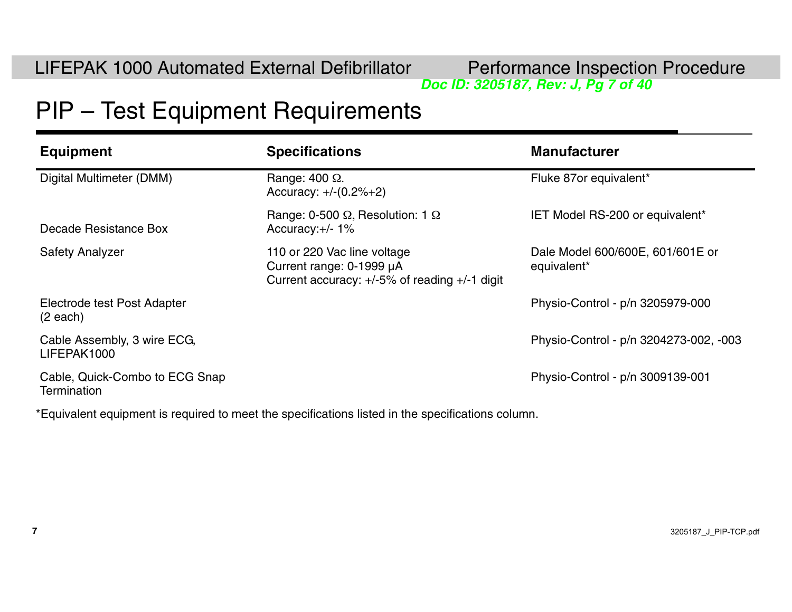*Doc ID: 3205187, Rev: J, Pg 7 of 40*

### PIP – Test Equipment Requirements

| <b>Equipment</b>                              | <b>Specifications</b>                                                                                         | <b>Manufacturer</b>                             |
|-----------------------------------------------|---------------------------------------------------------------------------------------------------------------|-------------------------------------------------|
| Digital Multimeter (DMM)                      | Range: $400 \Omega$ .<br>Accuracy: $+/-(0.2% + 2)$                                                            | Fluke 87or equivalent*                          |
| Decade Resistance Box                         | Range: 0-500 $\Omega$ , Resolution: 1 $\Omega$<br>Accuracy: $+/- 1\%$                                         | <b>IET Model RS-200 or equivalent*</b>          |
| <b>Safety Analyzer</b>                        | 110 or 220 Vac line voltage<br>Current range: 0-1999 µA<br>Current accuracy: $+/-5\%$ of reading $+/-1$ digit | Dale Model 600/600E, 601/601E or<br>equivalent* |
| Electrode test Post Adapter<br>$(2$ each)     |                                                                                                               | Physio-Control - p/n 3205979-000                |
| Cable Assembly, 3 wire ECG,<br>LIFEPAK1000    |                                                                                                               | Physio-Control - p/n 3204273-002, -003          |
| Cable, Quick-Combo to ECG Snap<br>Termination |                                                                                                               | Physio-Control - p/n 3009139-001                |

\*Equivalent equipment is required to meet the specifications listed in the specifications column.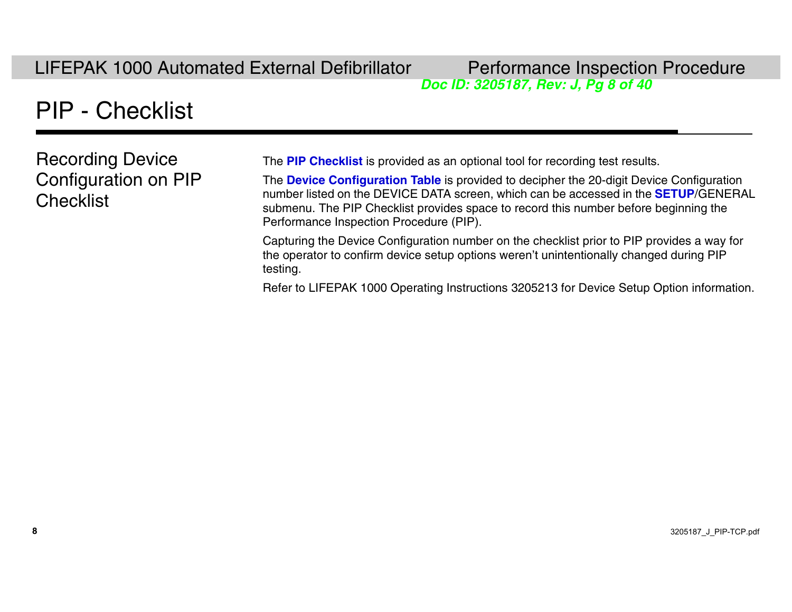*Doc ID: 3205187, Rev: J, Pg 8 of 40*

# PIP - Checklist

Recording Device Configuration on PIP **Checklist** 

The **[PIP Checklist](#page--1-0)** is provided as an optional tool for recording test results.

The **[Device Configuration Table](#page-24-0)** is provided to decipher the 20-digit Device Configuration number listed on the DEVICE DATA screen, which can be accessed in the **[SETUP](#page-8-0)**/GENERAL submenu. The PIP Checklist provides space to record this number before beginning the Performance Inspection Procedure (PIP).

Capturing the Device Configuration number on the checklist prior to PIP provides a way for the operator to confirm device setup options weren't unintentionally changed during PIP testing.

Refer to LIFEPAK 1000 Operating Instructions 3205213 for Device Setup Option information.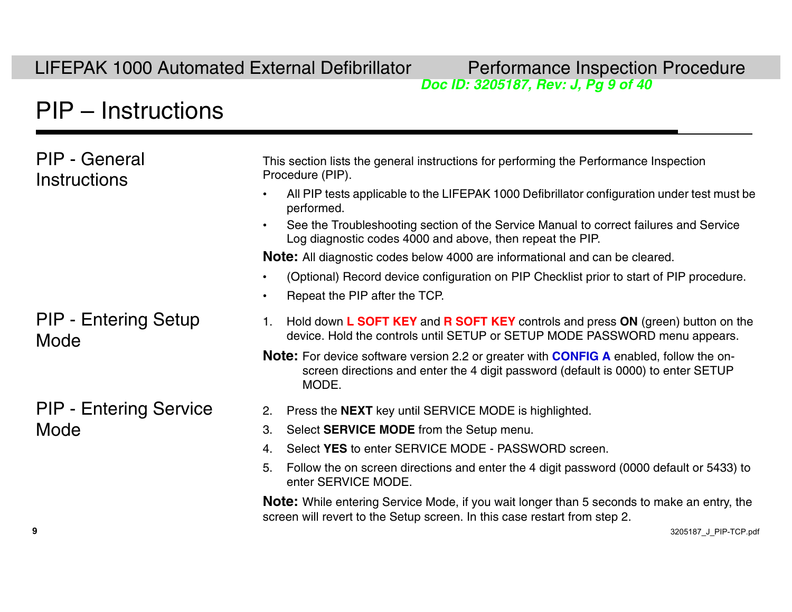# *Doc ID: 3205187, Rev: J, Pg 9 of 40*

### <span id="page-8-0"></span>PIP – Instructions

| PIP - General<br><b>Instructions</b> | This section lists the general instructions for performing the Performance Inspection<br>Procedure (PIP).                                                                                          |
|--------------------------------------|----------------------------------------------------------------------------------------------------------------------------------------------------------------------------------------------------|
|                                      | All PIP tests applicable to the LIFEPAK 1000 Defibrillator configuration under test must be<br>performed.                                                                                          |
|                                      | See the Troubleshooting section of the Service Manual to correct failures and Service<br>Log diagnostic codes 4000 and above, then repeat the PIP.                                                 |
|                                      | <b>Note:</b> All diagnostic codes below 4000 are informational and can be cleared.                                                                                                                 |
|                                      | (Optional) Record device configuration on PIP Checklist prior to start of PIP procedure.                                                                                                           |
|                                      | Repeat the PIP after the TCP.                                                                                                                                                                      |
| <b>PIP - Entering Setup</b><br>Mode  | Hold down L SOFT KEY and R SOFT KEY controls and press ON (green) button on the<br>1.<br>device. Hold the controls until SETUP or SETUP MODE PASSWORD menu appears.                                |
|                                      | <b>Note:</b> For device software version 2.2 or greater with <b>CONFIG A</b> enabled, follow the on-<br>screen directions and enter the 4 digit password (default is 0000) to enter SETUP<br>MODE. |
| <b>PIP - Entering Service</b>        | Press the <b>NEXT</b> key until SERVICE MODE is highlighted.<br>2.                                                                                                                                 |
| Mode                                 | Select <b>SERVICE MODE</b> from the Setup menu.<br>3.                                                                                                                                              |
|                                      | Select YES to enter SERVICE MODE - PASSWORD screen.<br>4.                                                                                                                                          |
|                                      | Follow the on screen directions and enter the 4 digit password (0000 default or 5433) to<br>5.<br>enter SERVICE MODE.                                                                              |

**Note:** While entering Service Mode, if you wait longer than 5 seconds to make an entry, the screen will revert to the Setup screen. In this case restart from step 2.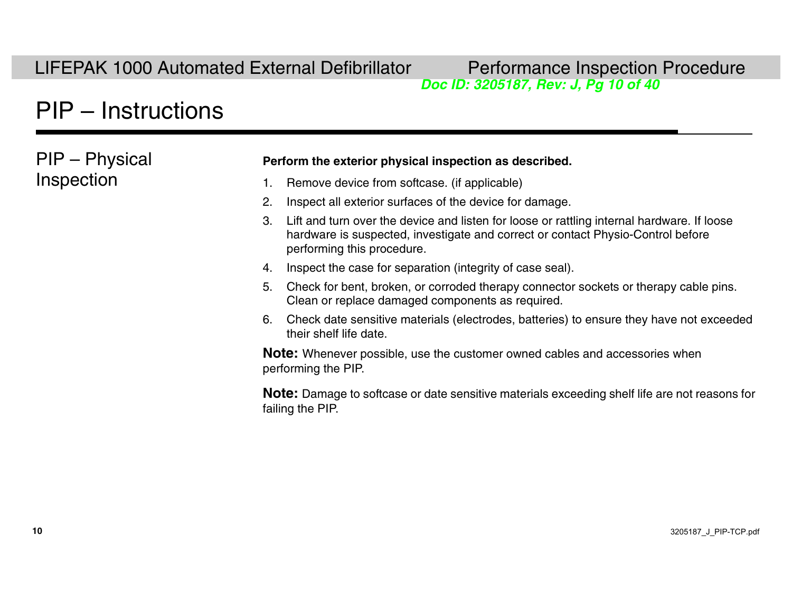# *Doc ID: 3205187, Rev: J, Pg 10 of 40*

# [PIP – Instructions](#page-8-0)

PIP – Physical Inspection

#### **Perform the exterior physical inspection as described.**

- 1. Remove device from softcase. (if applicable)
- 2. Inspect all exterior surfaces of the device for damage.
- 3. Lift and turn over the device and listen for loose or rattling internal hardware. If loose hardware is suspected, investigate and correct or contact Physio-Control before performing this procedure.
- 4. Inspect the case for separation (integrity of case seal).
- 5. Check for bent, broken, or corroded therapy connector sockets or therapy cable pins. Clean or replace damaged components as required.
- 6. Check date sensitive materials (electrodes, batteries) to ensure they have not exceeded their shelf life date.

**Note:** Whenever possible, use the customer owned cables and accessories when performing the PIP.

**Note:** Damage to softcase or date sensitive materials exceeding shelf life are not reasons for failing the PIP.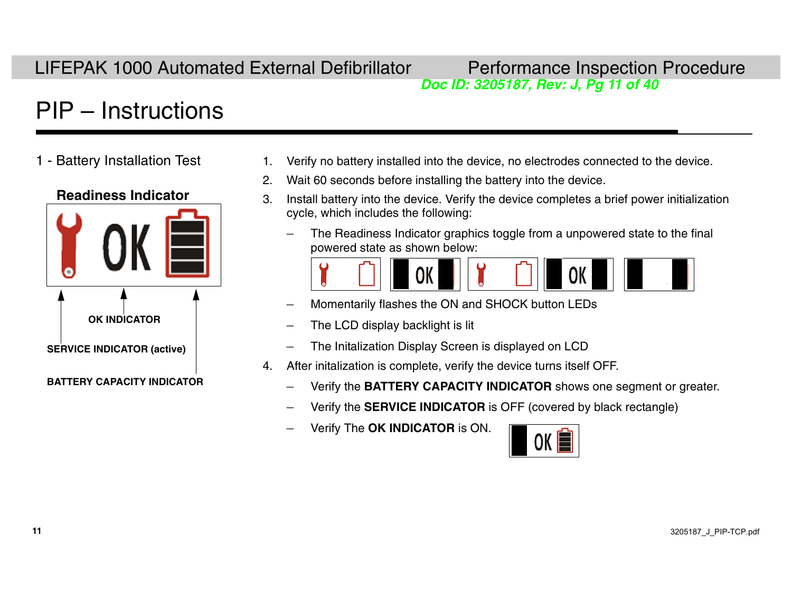# *Doc ID: 3205187, Rev: J, Pg 11 of 40*

# PIP – Instructions

#### **Readiness Indicator**



- 1 Battery Installation Test 1. Verify no battery installed into the device, no electrodes connected to the device.
	- 2. Wait 60 seconds before installing the battery into the device.
	- 3. Install battery into the device. Verify the device completes a brief power initialization cycle, which includes the following:
		- The Readiness Indicator graphics toggle from a unpowered state to the final powered state as shown below:



- Momentarily flashes the ON and SHOCK button LEDs
- The LCD display backlight is lit
- The Initalization Display Screen is displayed on LCD
- 4. After initalization is complete, verify the device turns itself OFF.
	- Verify the **BATTERY CAPACITY INDICATOR** shows one segment or greater.
	- Verify the **SERVICE INDICATOR** is OFF (covered by black rectangle)
	- Verify The **OK INDICATOR** is ON.

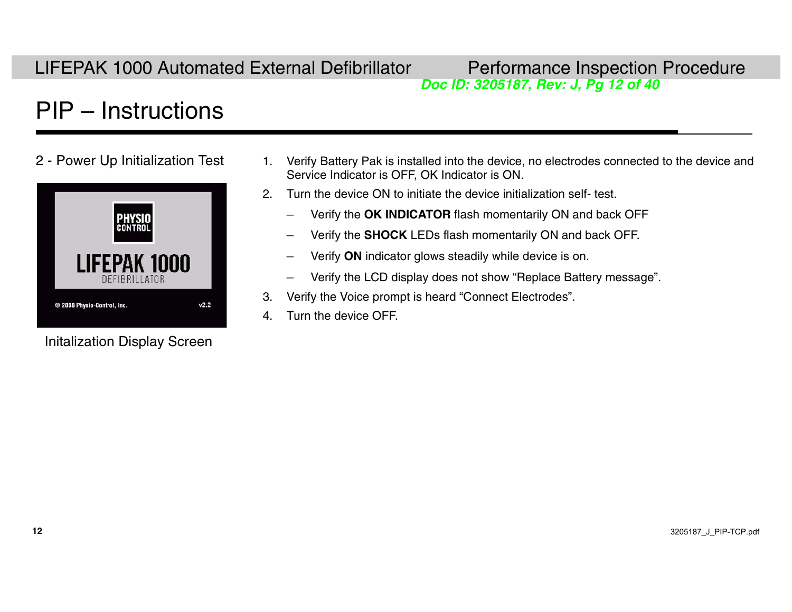# *Doc ID: 3205187, Rev: J, Pg 12 of 40*

# PIP – Instructions



Initalization Display Screen

- 2 Power Up Initialization Test 1. Verify Battery Pak is installed into the device, no electrodes connected to the device and Service Indicator is OFF, OK Indicator is ON.
	- 2. Turn the device ON to initiate the device initialization self- test.
		- Verify the **OK INDICATOR** flash momentarily ON and back OFF
		- –Verify the **SHOCK** LEDs flash momentarily ON and back OFF.
		- Verify **ON** indicator glows steadily while device is on.
		- Verify the LCD display does not show "Replace Battery message".
	- 3. Verify the Voice prompt is heard "Connect Electrodes".
	- 4. Turn the device OFF.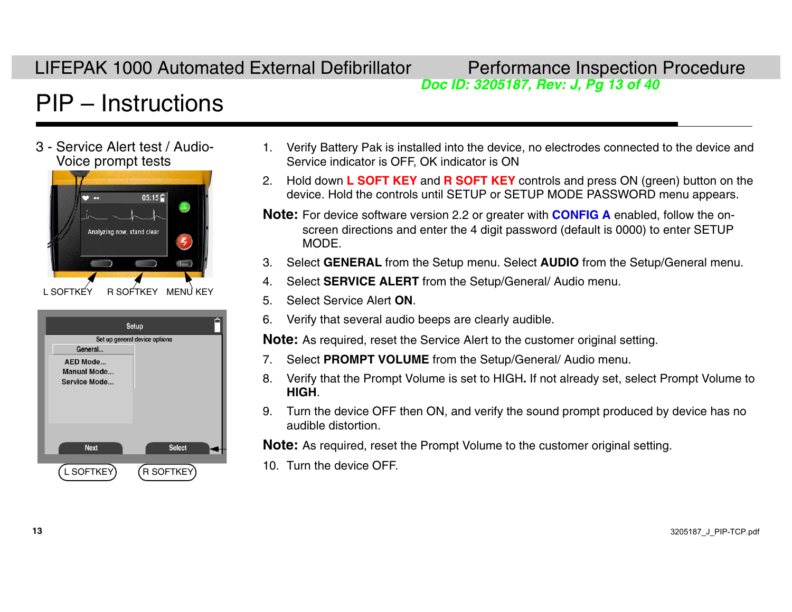# *Doc ID: 3205187, Rev: J, Pg 13 of 40*

# PIP – Instructions

3 - Service Alert test / Audio-

 $05:15$ Analyzing now, stand clear  $\left(5\right)$  $\equiv$ L SOFTKEY R SOFTKEY MENU KEY

| Ë<br>Setup                               | Verify that several at<br>6.                     |
|------------------------------------------|--------------------------------------------------|
| Set up general device options<br>General | <b>Note:</b> As required, reset                  |
| AED Mode                                 | <b>Select PROMPT VO</b>                          |
| <b>Manual Mode</b><br>Service Mode       | Verify that the Promp<br>8.<br>HIGH.             |
|                                          | Turn the device OFF<br>9.<br>audible distortion. |
| <b>Select</b><br><b>Next</b>             | <b>Note:</b> As required, reser                  |
| R SOFTKEY<br>L SOFTKEY                   | 10. Turn the device OFF                          |

- Service Alert test / Audio- The Verify Battery Pak is installed into the device, no electrodes connected to the device and Voice prompt tests  $\blacksquare$  Service indicator is OFF, OK indicator is ON
	- 2. Hold down **L SOFT KEY** and **R SOFT KEY** controls and press ON (green) button on the device. Hold the controls until SETUP or SETUP MODE PASSWORD menu appears.
	- **Note:** For device software version 2.2 or greater with **[CONFIG A](#page-27-0)** enabled, follow the onscreen directions and enter the 4 digit password (default is 0000) to enter SETUP MODE.
	- 3. Select **GENERAL** from the Setup menu. Select **AUDIO** from the Setup/General menu.
	- 4. Select **SERVICE ALERT** from the Setup/General/ Audio menu.
	- 5. Select Service Alert **ON**.
	- 6. Verify that several audio beeps are clearly audible.

**Note:** As required, reset the Service Alert to the customer original setting.

- 7. Select **PROMPT VOLUME** from the Setup/General/ Audio menu.
- 8. Verify that the Prompt Volume is set to HIGH**.** If not already set, select Prompt Volume to **HIGH**.
- 9. Turn the device OFF then ON, and verify the sound prompt produced by device has no audible distortion.

**Note:** As required, reset the Prompt Volume to the customer original setting.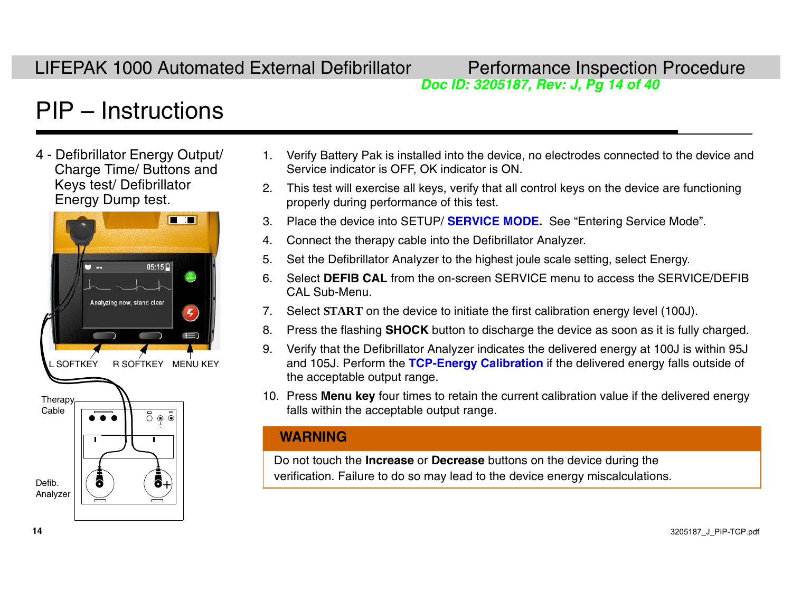# *Doc ID: 3205187, Rev: J, Pg 14 of 40*

# [PIP – Instructions](#page-8-0)

4 - Defibrillator Energy Output/ Charge Time/ Buttons and Keys test/ Defibrillator Energy Dump test.



- 1. Verify Battery Pak is installed into the device, no electrodes connected to the device and Service indicator is OFF, OK indicator is ON.
- 2. This test will exercise all keys, verify that all control keys on the device are functioning properly during performance of this test.
- 3. Place the device into SETUP/ **[SERVICE MODE](#page-8-0).** See "Entering Service Mode".
- 4. Connect the therapy cable into the Defibrillator Analyzer.
- 5. Set the Defibrillator Analyzer to the highest joule scale setting, select Energy.
- 6. Select **DEFIB CAL** from the on-screen SERVICE menu to access the SERVICE/DEFIB CAL Sub-Menu.
- 7. Select **START** on the device to initiate the first calibration energy level (100J).
- 8. Press the flashing **SHOCK** button to discharge the device as soon as it is fully charged.
- 9. Verify that the Defibrillator Analyzer indicates the delivered energy at 100J is within 95J and 105J. Perform the **[TCP-Energy Calibration](#page-32-0)** if the delivered energy falls outside of the acceptable output range.
- 10. Press **Menu key** four times to retain the current calibration value if the delivered energy falls within the acceptable output range.

#### **WARNING**

Do not touch the **Increase** or **Decrease** buttons on the device during the verification. Failure to do so may lead to the device energy miscalculations.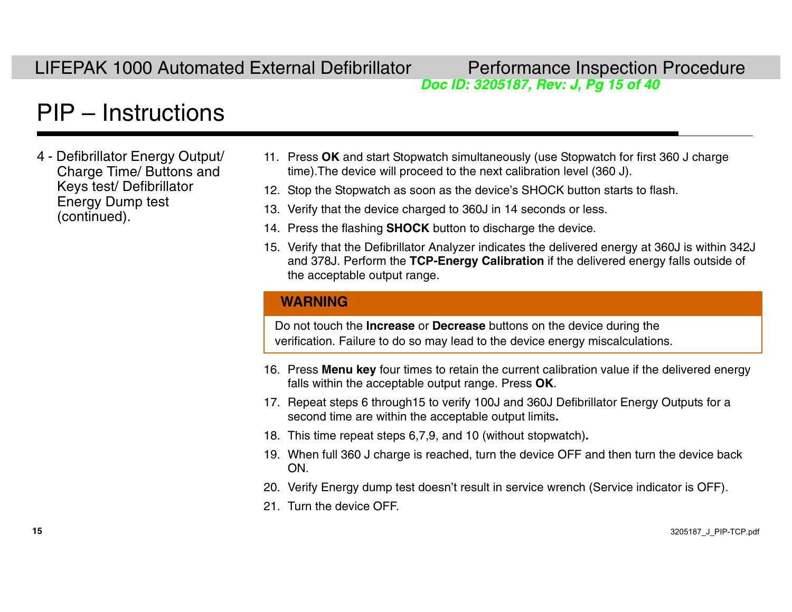# *Doc ID: 3205187, Rev: J, Pg 15 of 40*

# [PIP – Instructions](#page-8-0)

- 4 Defibrillator Energy Output/ Charge Time/ Buttons and Keys test/ Defibrillator Energy Dump test (continued).
- 11. Press **OK** and start Stopwatch simultaneously (use Stopwatch for first 360 J charge time).The device will proceed to the next calibration level (360 J).
- 12. Stop the Stopwatch as soon as the device's SHOCK button starts to flash.
- 13. Verify that the device charged to 360J in 14 seconds or less.
- 14. Press the flashing **SHOCK**  button to discharge the device.
- 15. Verify that the Defibrillator Analyzer indicates the delivered energy at 360J is within 342J and 378J. Perform the **[TCP-Energy Calibration](#page-32-0)** if the delivered energy falls outside of the acceptable output range.

#### **WARNING**

Do not touch the **Increase** or **Decrease** buttons on the device during the verification. Failure to do so may lead to the device energy miscalculations.

- 16. Press **Menu key** four times to retain the current calibration value if the delivered energy falls within the acceptable output range. Press **OK**.
- 17. Repeat steps 6 through15 to verify 100J and 360J Defibrillator Energy Outputs for a second time are within the acceptable output limits**.**
- 18. This time repeat steps 6,7,9, and 10 (without stopwatch)**.**
- 19. When full 360 J charge is reached, turn the device OFF and then turn the device back ON.
- 20. Verify Energy dump test doesn't result in service wrench (Service indicator is OFF).
- 21. Turn the device OFF.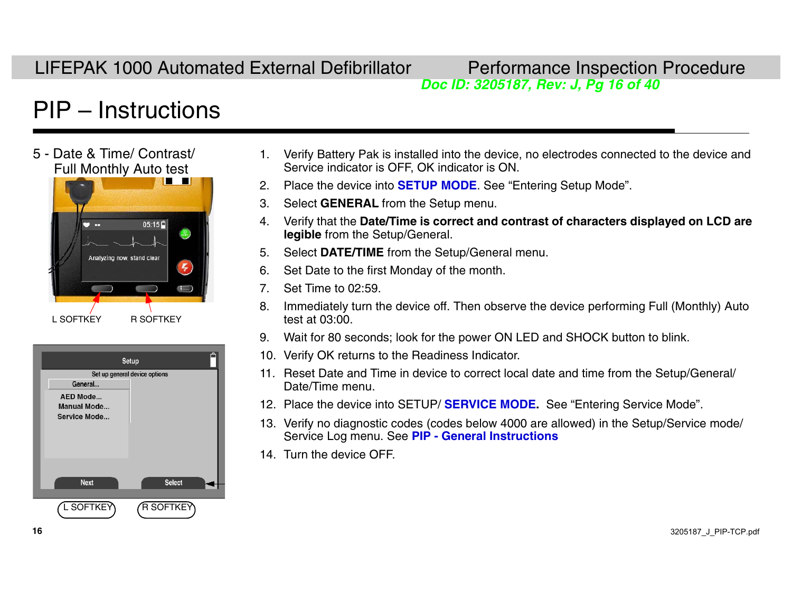# *Doc ID: 3205187, Rev: J, Pg 16 of 40*

## PIP – Instructions





- 1. Verify Battery Pak is installed into the device, no electrodes connected to the device and Service indicator is OFF, OK indicator is ON.
- 2. Place the device into **[SETUP MODE](#page-8-0)**. See "Entering Setup Mode".
- 3. Select **GENERAL** from the Setup menu.
- 4. Verify that the **Date/Time is correct and contrast of characters displayed on LCD are legible** from the Setup/General.
- 5. Select **DATE/TIME** from the Setup/General menu.
- 6. Set Date to the first Monday of the month.
- 7. Set Time to 02:59.
- 8. Immediately turn the device off. Then observe the device performing Full (Monthly) Auto test at 03:00.
- 9. Wait for 80 seconds; look for the power ON LED and SHOCK button to blink.
- 10. Verify OK returns to the Readiness Indicator.
- 11. Reset Date and Time in device to correct local date and time from the Setup/General/ Date/Time menu.
- 12. Place the device into SETUP/ **[SERVICE MODE](#page-8-0).** See "Entering Service Mode".
- 13. Verify no diagnostic codes (codes below 4000 are allowed) in the Setup/Service mode/ Service Log menu. See **[PIP - General Instructions](#page-8-0)**
- 14. Turn the device OFF.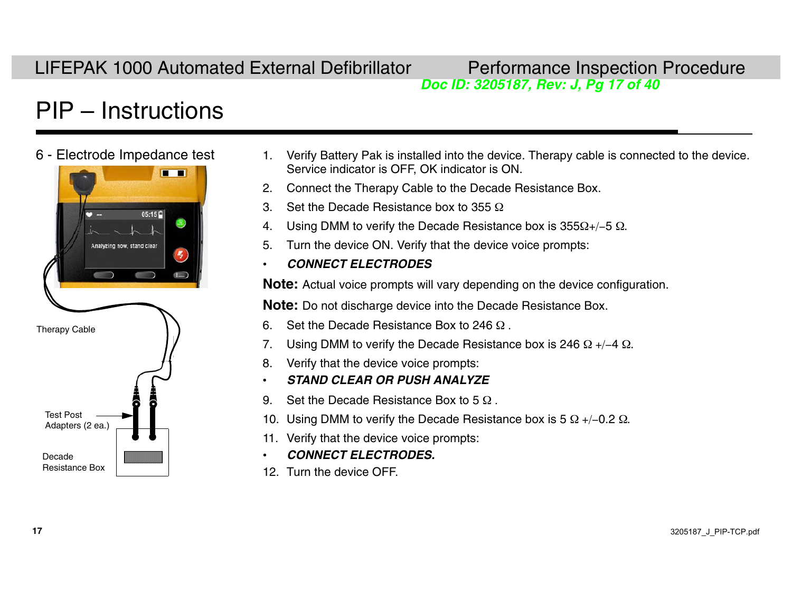# *Doc ID: 3205187, Rev: J, Pg 17 of 40*

# PIP – Instructions



- 6 Electrode Impedance test 1. Verify Battery Pak is installed into the device. Therapy cable is connected to the device. Service indicator is OFF, OK indicator is ON.
	- 2. Connect the Therapy Cable to the Decade Resistance Box.
	- 3. Set the Decade Resistance box to 355  $\Omega$
	- 4. Using DMM to verify the Decade Resistance box is 355 $\Omega$ +/–5  $\Omega$ .
	- 5. Turn the device ON. Verify that the device voice prompts:
	- •*CONNECT ELECTRODES*

**Note:** Actual voice prompts will vary depending on the device configuration.

**Note:** Do not discharge device into the Decade Resistance Box.

- 6. Set the Decade Resistance Box to 246  $\Omega$ .
- 7. Using DMM to verify the Decade Resistance box is 246  $\Omega$  +/-4  $\Omega$ .
- 8. Verify that the device voice prompts:
- •*STAND CLEAR OR PUSH ANALYZE*
- 9. Set the Decade Resistance Box to 5  $\Omega$ .
- 10. Using DMM to verify the Decade Resistance box is 5  $\Omega$  +/–0.2  $\Omega$ .
- 11. Verify that the device voice prompts:
- •*CONNECT ELECTRODES.*
- 12. Turn the device OFF.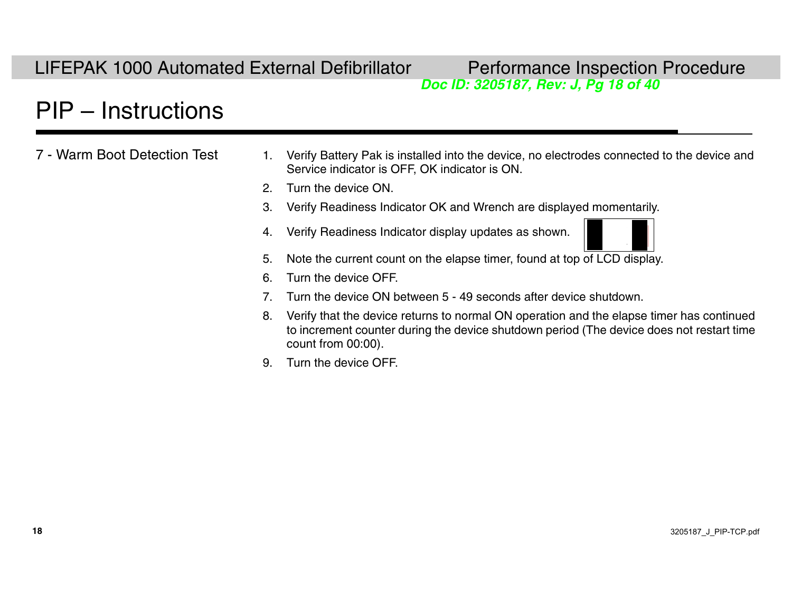# *Doc ID: 3205187, Rev: J, Pg 18 of 40*

### [PIP – Instructions](#page-8-0)

7 - Warm Boot Detection Test

- 1. Verify Battery Pak is installed into the device, no electrodes connected to the device and Service indicator is OFF, OK indicator is ON.
	- 2. Turn the device ON.
	- 3. Verify Readiness Indicator OK and Wrench are displayed momentarily.
	- 4. Verify Readiness Indicator display updates as shown.

- 5. Note the current count on the elapse timer, found at top of LCD display.
- 6. Turn the device OFF.
- 7. Turn the device ON between 5 49 seconds after device shutdown.
- 8. Verify that the device returns to normal ON operation and the elapse timer has continued to increment counter during the device shutdown period (The device does not restart time count from 00:00).
- 9. Turn the device OFF.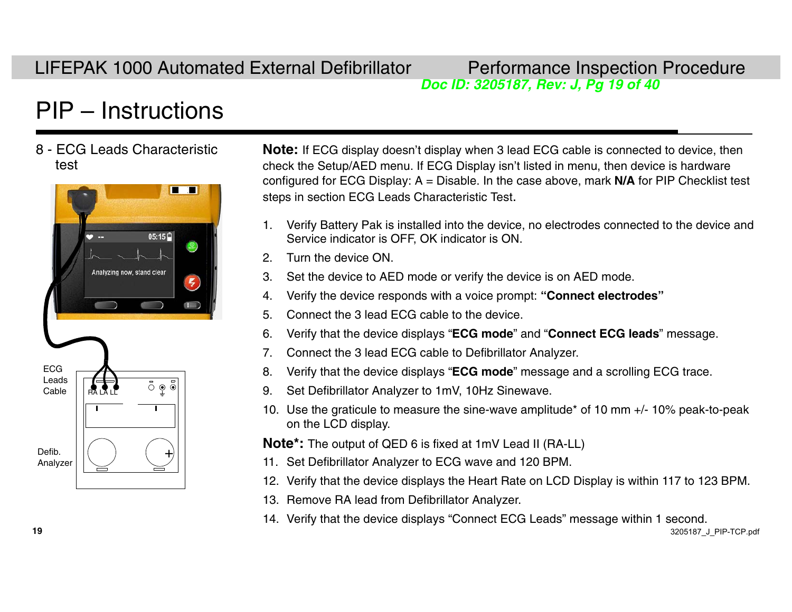# *Doc ID: 3205187, Rev: J, Pg 19 of 40*

# [PIP – Instructions](#page-8-0)

8 - ECG Leads Characteristic test



**Note:** If ECG display doesn't display when 3 lead ECG cable is connected to device, then check the Setup/AED menu. If ECG Display isn't listed in menu, then device is hardware configured for ECG Display: A = Disable. In the case above, mark **N/A** for PIP Checklist test steps in section ECG Leads Characteristic Test.

- 1. Verify Battery Pak is installed into the device, no electrodes connected to the device and Service indicator is OFF, OK indicator is ON.
- 2. Turn the device ON.
- 3. Set the device to AED mode or verify the device is on AED mode.
- 4. Verify the device responds with a voice prompt: **"Connect electrodes"**
- 5. Connect the 3 lead ECG cable to the device.
- 6. Verify that the device displays "**ECG mode**" and "**Connect ECG leads**" message.
- 7. Connect the 3 lead ECG cable to Defibrillator Analyzer.
- 8. Verify that the device displays "**ECG mode**" message and a scrolling ECG trace.
- 9. Set Defibrillator Analyzer to 1mV, 10Hz Sinewave.
- 10. Use the graticule to measure the sine-wave amplitude\* of 10 mm +/- 10% peak-to-peak on the LCD display.

**Note\*:** The output of QED 6 is fixed at 1mV Lead II (RA-LL)

- 11. Set Defibrillator Analyzer to ECG wave and 120 BPM.
- 12. Verify that the device displays the Heart Rate on LCD Display is within 117 to 123 BPM.
- 13. Remove RA lead from Defibrillator Analyzer.
- 14. Verify that the device displays "Connect ECG Leads" message within 1 second.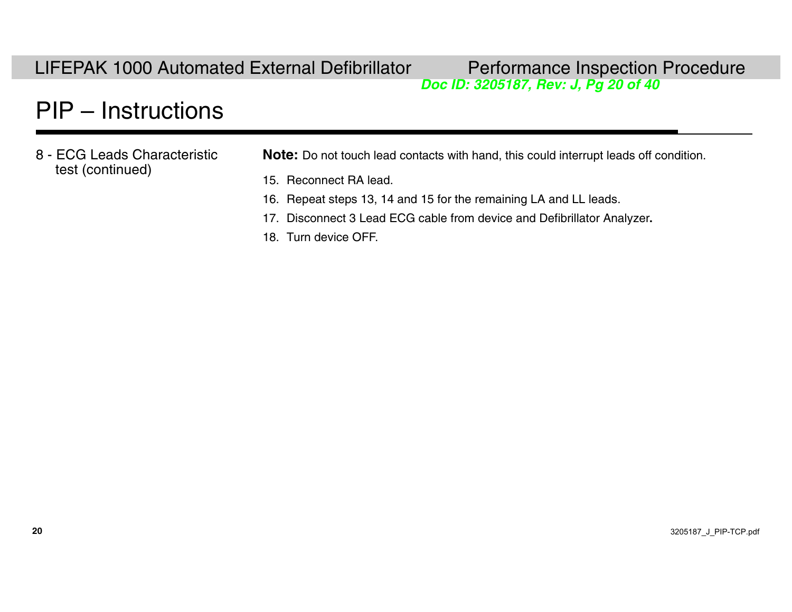*Doc ID: 3205187, Rev: J, Pg 20 of 40*

### [PIP – Instructions](#page-8-0)

8 - ECG Leads Characteristic test (continued)

**Note:** Do not touch lead contacts with hand, this could interrupt leads off condition.

- 15. Reconnect RA lead.
- 16. Repeat steps 13, 14 and 15 for the remaining LA and LL leads.
- 17. Disconnect 3 Lead ECG cable from device and Defibrillator Analyzer**.**
- 18. Turn device OFF.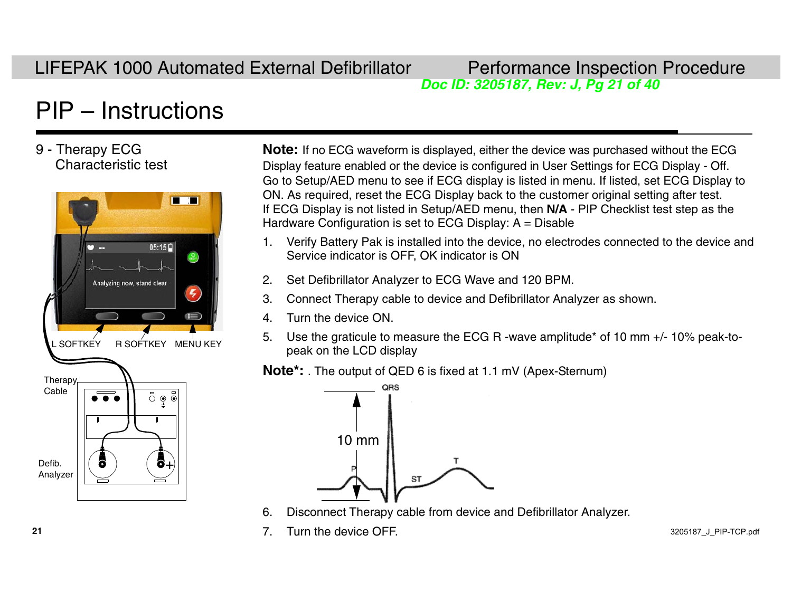# *Doc ID: 3205187, Rev: J, Pg 21 of 40*

# [PIP – Instructions](#page-8-0)

#### 9 - Therapy ECG Characteristic test



**Note:** If no ECG waveform is displayed, either the device was purchased without the ECG Display feature enabled or the device is configured in User Settings for ECG Display - Off. Go to Setup/AED menu to see if ECG display is listed in menu. If listed, set ECG Display to ON. As required, reset the ECG Display back to the customer original setting after test. If ECG Display is not listed in Setup/AED menu, then **N/A** - PIP Checklist test step as the Hardware Configuration is set to ECG Display:  $A = Disable$ 

- 1. Verify Battery Pak is installed into the devi ce, no electrodes connected to the device and Service indicator is OFF, OK indicator is ON
- 2. Set Defibrillator Analyzer to ECG Wave and 120 BPM.
- 3. Connect Therapy cable to device and Defibrillator Analyzer as shown.
- 4. Turn the device ON.
- 5. Use the graticule to measure the ECG R -wave amplitude\* of 10 mm +/- 10% peak-topeak on the LCD display

**Note\*:** . The output of QED 6 is fixed at 1.1 mV (Apex-Sternum)



- 6. Disconnect Therapy cable from device and Defibrillator Analyzer.
- 7. Turn the device OFF.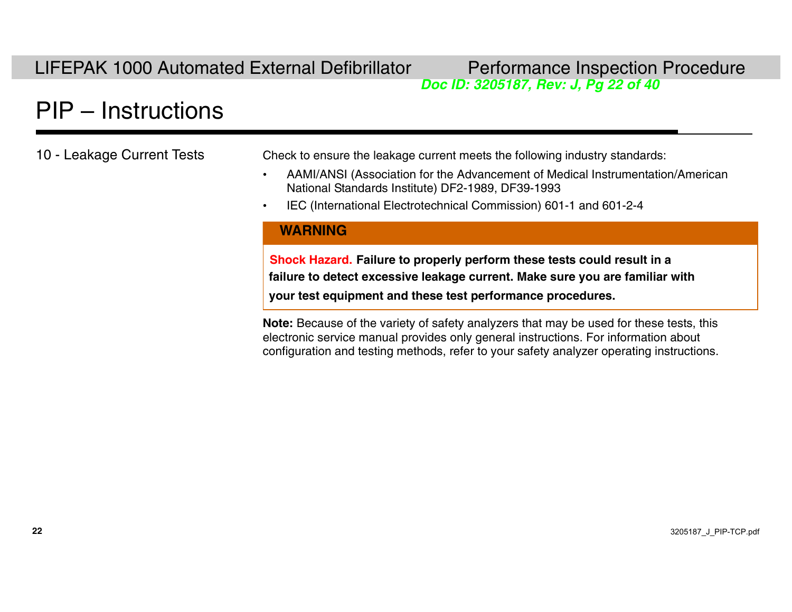# *Doc ID: 3205187, Rev: J, Pg 22 of 40*

# [PIP – Instructions](#page-8-0)

10 - Leakage Current Tests Check to ensure the leakage current meets the following industry standards:

- • AAMI/ANSI (Association for the Advancement of Medical Instrumentation/American National Standards Institute) DF2-1989, DF39-1993
- •IEC (International Electrotechnical Commission) 601-1 and 601-2-4

#### **WARNING**

**Shock Hazard. Failure to properly perform these tests could result in a failure to detect excessive leakage current. Make sure you are familiar with your test equipment and these test performance procedures.**

**Note:** Because of the variety of safety analyzers that may be used for these tests, this electronic service manual provides only general instructions. For information about configuration and testing methods, refer to your safety analyzer operating instructions.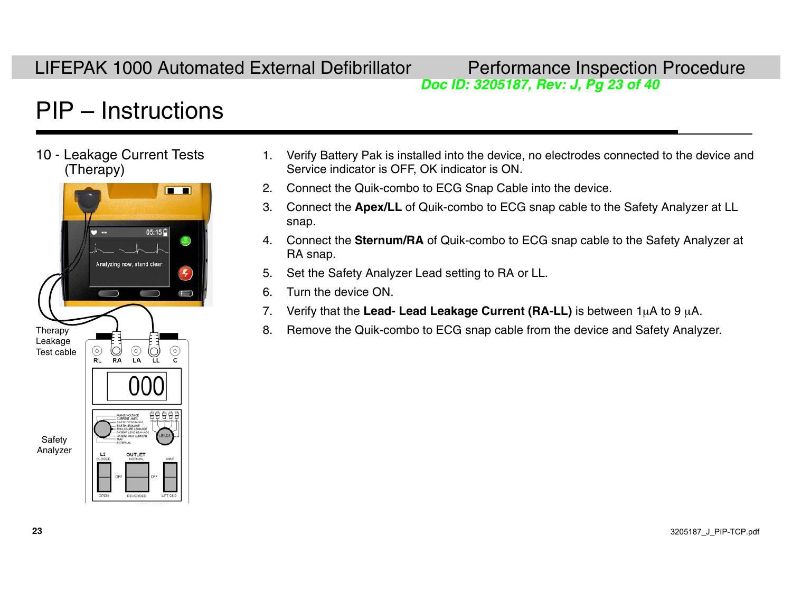# *Doc ID: 3205187, Rev: J, Pg 23 of 40*

# [PIP – Instructions](#page-8-0)

10 - Leakage Current Tests (Therapy)



- 1. Verify Battery Pak is installed into the device, no electrodes connected to the device and Service indicator is OFF, OK indicator is ON.
- 2. Connect the Quik-combo to ECG Snap Cable into the device.
- 3. Connect the **Apex/LL** of Quik-combo to ECG snap cable to the Safety Analyzer at LL snap.
- 4. Connect the **Sternum/RA** of Quik-combo to ECG snap cable to the Safety Analyzer at RA snap.
- 5. Set the Safety Analyzer Lead setting to RA or LL.
- 6. Turn the device ON.
- 7.. Verify that the L**ead- Lead Leakage Current (RA-LL)** is between 1μA to 9 μA.
- Therapy  $\begin{array}{ccc} 1 & 1 & 1 \end{array}$   $\begin{array}{ccc} \hline \end{array}$  a. Remove the Quik-combo to ECG snap cable from the device and Safety Analyzer.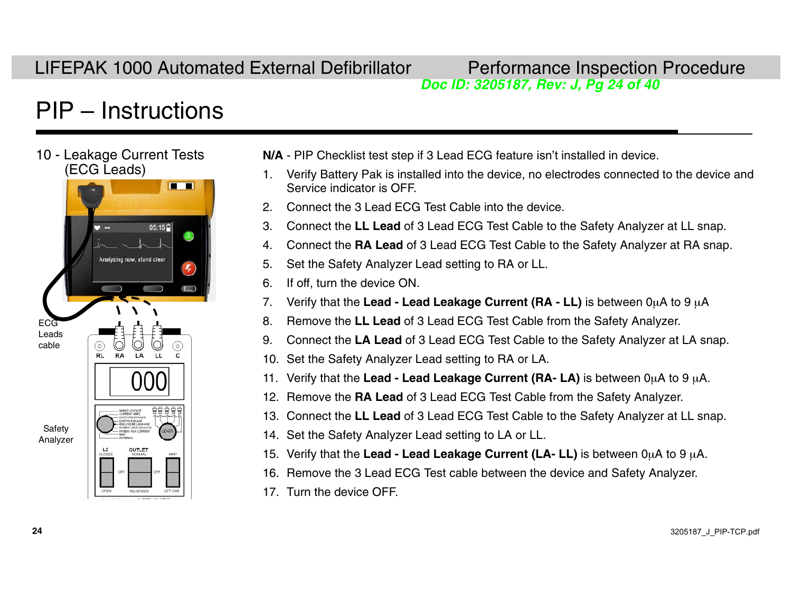# *Doc ID: 3205187, Rev: J, Pg 24 of 40*

# [PIP – Instructions](#page-8-0)



- **N/A**  PIP Checklist test step if 3 Lead ECG feature isn't installed in device.
- 1. Verify Battery Pak is installed into the devi ce, no electrodes connected to the device and Service indicator is OFF.
- 2. Connect the 3 Lead ECG Test Cable into the device.
- 3. Connect the **LL Lead** of 3 Lead ECG Test Cable to the Safety Analyzer at LL snap.
- 4. Connect the **RA Lead** of 3 Lead ECG Test Cable to the Safety Analyzer at RA snap.
- 5. Set the Safety Analyzer Lead setting to RA or LL.
- 6. If off, turn the device ON.
- 7. Verify that the **Lead Lead Leakage Current (RA LL)** is between 0μA to 9 μA
- 8. Remove the **LL Lead** of 3 Lead ECG Test Cable from the Safety Analyzer.
- 9. Connect the **LA Lead** of 3 Lead ECG Test Cable to the Safety Analyzer at LA snap.
- 10. Set the Safety Analyzer Lead setting to RA or LA.
- **11. Verify that the Lead Lead Leakage Current (RA- LA)** is between 0μA to 9 μA.
- 12. Remove the **RA Lead** of 3 Lead ECG Test Cable from the Safety Analyzer.
- 13. Connect the **LL Lead** of 3 Lead ECG Test Cable to the Safety Analyzer at LL snap.
- 14. Set the Safety Analyzer Lead setting to LA or LL.
- **15. Verify that the Lead Lead Leakage Current (LA- LL)** is between 0μA to 9 μA.
- 16. Remove the 3 Lead ECG Test cable between the device and Safety Analyzer.
- 17. Turn the device OFF.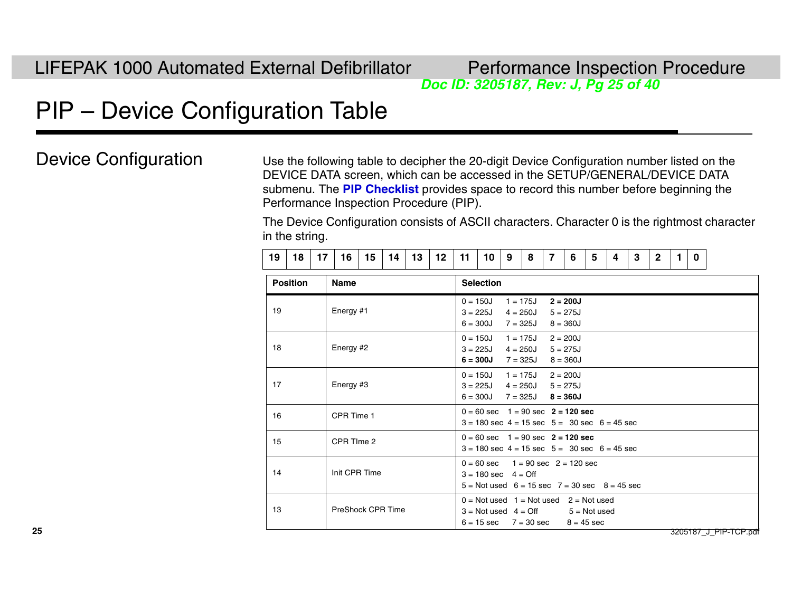*Doc ID: 3205187, Rev: J, Pg 25 of 40*

# <span id="page-24-0"></span>PIP – Device Configuration Table

Device Configuration Use the following table to decipher the 20-digit Device Configuration number listed on the DEVICE DATA screen, which can be accessed in the SETUP/GENERAL/DEVICE DATA submenu. The **[PIP Checklist](#page--1-0)** provides space to record this number before beginning the Performance Inspection Procedure (PIP).

> The Device Configuration consists of ASCII characters. Character 0 is the rightmost character in the string.

| 19 | 18 |  |  |  |  |  | 16   15   14   13   12   11 |  | 101918 |  |  | $\overline{\phantom{a}}$ | 6 5 |  | $\blacksquare$ |  |  |  |  |
|----|----|--|--|--|--|--|-----------------------------|--|--------|--|--|--------------------------|-----|--|----------------|--|--|--|--|
|----|----|--|--|--|--|--|-----------------------------|--|--------|--|--|--------------------------|-----|--|----------------|--|--|--|--|

| <b>Position</b> | <b>Name</b>       | <b>Selection</b>                                                                                                                          |
|-----------------|-------------------|-------------------------------------------------------------------------------------------------------------------------------------------|
| 19              | Energy #1         | $1 = 175$ J<br>$2 = 200J$<br>$0 = 150J$<br>$3 = 225J$<br>4 = 250J<br>$5 = 275J$<br>$6 = 300J$<br>7 = 325J<br>$8 = 360J$                   |
| 18              | Energy #2         | $0 = 150J$<br>$1 = 175J$<br>$2 = 200J$<br>$3 = 225J$<br>4 = 250J<br>$5 = 275J$<br>$6 = 300J$<br>7 = 325J<br>$8 = 360J$                    |
| 17              | Energy #3         | $0 = 150J$<br>$1 = 175$ J<br>$2 = 200J$<br>$3 = 225J$<br>$4 = 250$ J $5 = 275$ J<br>$8 = 360J$<br>$6 = 300J$<br>$7 = 325J$                |
| 16              | CPR Time 1        | $0 = 60$ sec $1 = 90$ sec $2 = 120$ sec<br>$3 = 180$ sec $4 = 15$ sec $5 = 30$ sec $6 = 45$ sec                                           |
| 15              | CPR TIme 2        | $0 = 60$ sec $1 = 90$ sec $2 = 120$ sec<br>$3 = 180$ sec $4 = 15$ sec $5 = 30$ sec $6 = 45$ sec                                           |
| 14              | Init CPR Time     | $0 = 60$ sec $1 = 90$ sec $2 = 120$ sec<br>$3 = 180$ sec $4 = \text{Off}$<br>$5 =$ Not used $6 = 15$ sec $7 = 30$ sec $8 = 45$ sec        |
| 13              | PreShock CPR Time | $0 = Not used$ 1 = Not used 2 = Not used<br>$3 =$ Not used $4 =$ Off<br>$5 = Not used$<br>$6 = 15 \text{ sec}$ 7 = 30 sec<br>$8 = 45$ sec |

3205187\_J\_PIP-TCP.pdf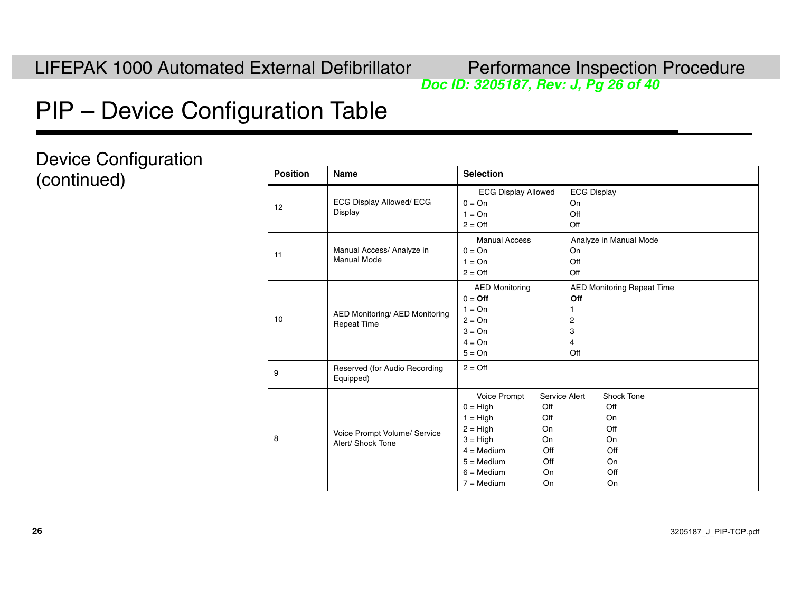# *Doc ID: 3205187, Rev: J, Pg 26 of 40*

# PIP – Device Configuration Table

Device Configuration  $(continued)$ 

| <b>Position</b> | <b>Name</b>                                                 | <b>Selection</b>                                                                                                                                                 |                                                                   |                                        |                                                                |
|-----------------|-------------------------------------------------------------|------------------------------------------------------------------------------------------------------------------------------------------------------------------|-------------------------------------------------------------------|----------------------------------------|----------------------------------------------------------------|
| 12              | ECG Display Allowed/ ECG<br>Display                         | <b>ECG Display Allowed</b><br>$0 = On$<br>$1 = On$<br>$2 = \text{Off}$                                                                                           |                                                                   | <b>ECG Display</b><br>On<br>Off<br>Off |                                                                |
| 11              | Manual Access/ Analyze in<br><b>Manual Mode</b>             | <b>Manual Access</b><br>$0 = On$<br>$1 = On$<br>$2 = \bigcirc$                                                                                                   |                                                                   | On<br>Off<br>Off                       | Analyze in Manual Mode                                         |
| 10              | <b>AED Monitoring/ AED Monitoring</b><br><b>Repeat Time</b> | <b>AED Monitoring</b><br>$0 = \text{Off}$<br>$1 = On$<br>$2 = On$<br>$3 = On$<br>$4 = On$<br>$5 = On$                                                            |                                                                   | Off<br>1<br>2<br>3<br>4<br>Off         | <b>AED Monitoring Repeat Time</b>                              |
| 9               | Reserved (for Audio Recording<br>Equipped)                  | $2 = \text{Off}$                                                                                                                                                 |                                                                   |                                        |                                                                |
| 8               | Voice Prompt Volume/ Service<br>Alert/ Shock Tone           | Voice Prompt<br>$0 = High$<br>$1 = High$<br>$2 = High$<br>$3 = High$<br>$4 = \text{Median}$<br>$5 = \text{Median}$<br>$6 = \text{Median}$<br>$7 = \text{Median}$ | Service Alert<br>Off<br>Off<br>On<br>On<br>Off<br>Off<br>On<br>On |                                        | Shock Tone<br>Off<br>On<br>Off<br>On<br>Off<br>On<br>Off<br>On |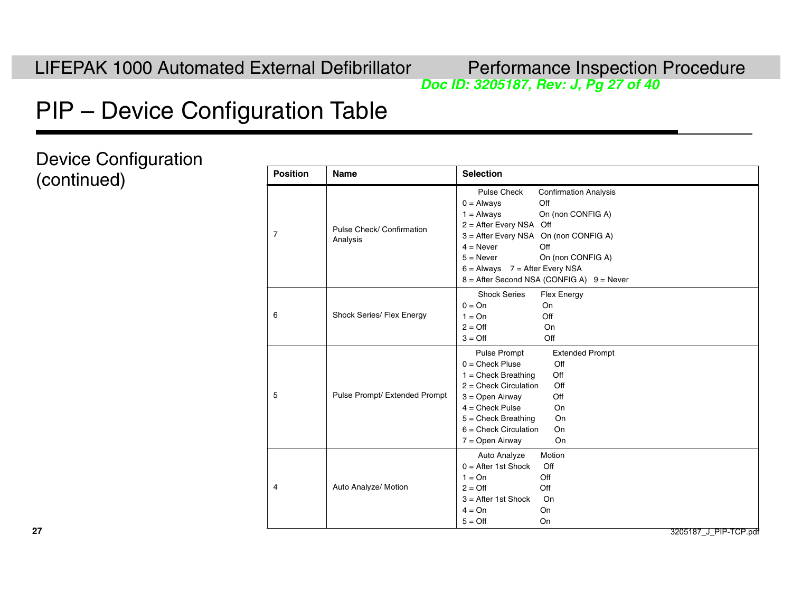# *Doc ID: 3205187, Rev: J, Pg 27 of 40*

# PIP – Device Configuration Table

Device Configuration  $(continued)$ 

| <b>Position</b> | <b>Name</b>                           | <b>Selection</b>                                                                                                                                                                                                                                                                                                                      |
|-----------------|---------------------------------------|---------------------------------------------------------------------------------------------------------------------------------------------------------------------------------------------------------------------------------------------------------------------------------------------------------------------------------------|
| 7               | Pulse Check/ Confirmation<br>Analysis | <b>Pulse Check</b><br><b>Confirmation Analysis</b><br>Off<br>$0 =$ Always<br>$1 =$ Always<br>On (non CONFIG A)<br>$2 =$ After Every NSA Off<br>3 = After Every NSA On (non CONFIG A)<br>Off<br>$4 =$ Never<br>On (non CONFIG A)<br>$5 =$ Never<br>$6 =$ Always $7 =$ After Every NSA<br>$8 =$ After Second NSA (CONFIG A) $9 =$ Never |
| 6               | Shock Series/ Flex Energy             | <b>Shock Series</b><br><b>Flex Energy</b><br>$0 = On$<br>On<br>Off<br>$1 = On$<br>$2 = \text{Off}$<br>On<br>Off<br>$3 = \text{Off}$                                                                                                                                                                                                   |
| 5               | Pulse Prompt/ Extended Prompt         | <b>Pulse Prompt</b><br><b>Extended Prompt</b><br>$0 =$ Check Pluse<br>Off<br>$1 =$ Check Breathing<br>Off<br>$2 =$ Check Circulation<br>Off<br>$3 =$ Open Airway<br>Off<br>$4 =$ Check Pulse<br>On<br>$5 =$ Check Breathing<br>On<br>$6 =$ Check Circulation<br>On<br>On<br>$7 =$ Open Airway                                         |
| 4               | Auto Analyze/ Motion                  | Auto Analyze<br>Motion<br>$0 =$ After 1st Shock<br>Off<br>$1 = On$<br>Off<br>Off<br>$2 = \text{Off}$<br>$3 =$ After 1st Shock<br>On<br>$4 = On$<br>On<br>$5 = \text{Off}$<br>On                                                                                                                                                       |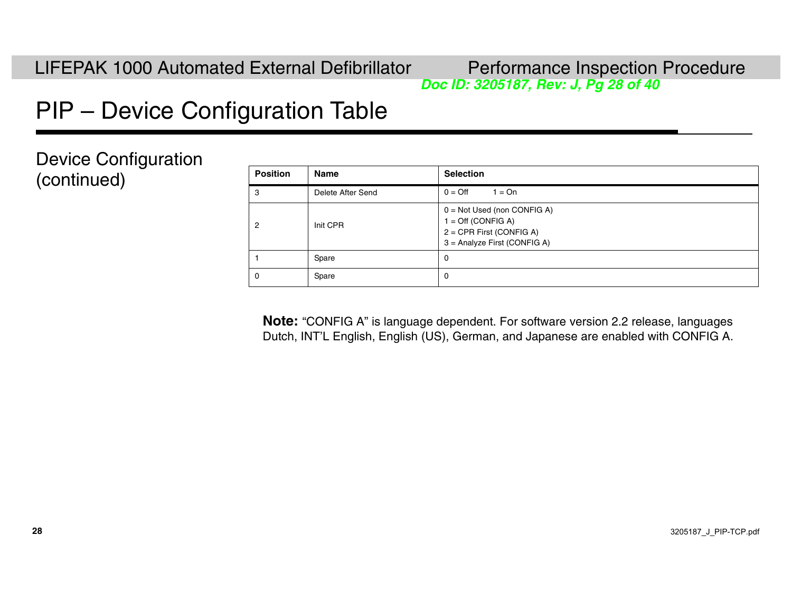# *Doc ID: 3205187, Rev: J, Pg 28 of 40*

# <span id="page-27-0"></span>PIP – Device Configuration Table

Device Configuration (continued)

| <b>Position</b> | <b>Name</b>       | <b>Selection</b>                                                                                                           |
|-----------------|-------------------|----------------------------------------------------------------------------------------------------------------------------|
| 3               | Delete After Send | $0 = \text{Off}$<br>$1 = On$                                                                                               |
| 2               | Init CPR          | $0 = Not Used$ (non CONFIG A)<br>$1 = \text{Off (CONFIG A)}$<br>$2 = CPR$ First (CONFIG A)<br>3 = Analyze First (CONFIG A) |
|                 | Spare             | 0                                                                                                                          |
| 0               | Spare             | 0                                                                                                                          |

**Note:** "CONFIG A" is language dependent. For software version 2.2 release, languages Dutch, INT'L English, English (US), German, and Japanese are enabled with CONFIG A.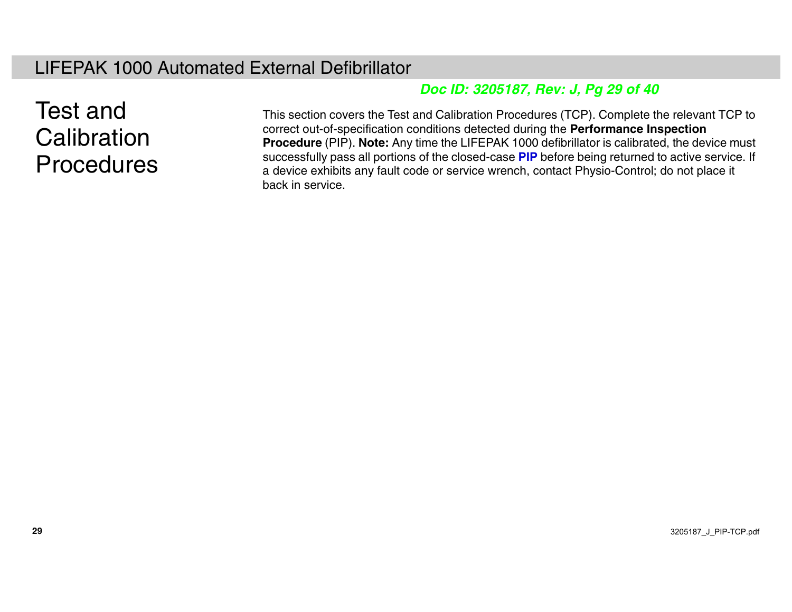#### LIFEPAK 1000 Automated External Defibrillator

#### *Doc ID: 3205187, Rev: J, Pg 29 of 40*

### Test and **Calibration Procedures**

This section covers the Test and Calibration Procedures (TCP). Complete the relevant TCP to correct out-of-specification conditions detected during the **Performance Inspection Procedure** (PIP). **Note:** Any time the LIFEPAK 1000 defibrillator is calibrated, the device must successfully pass all portions of the closed-case **[PIP](#page-0-0)** before being returned to active service. If a device exhibits any fault code or service wrench, contact Physio-Control; do not place it back in service.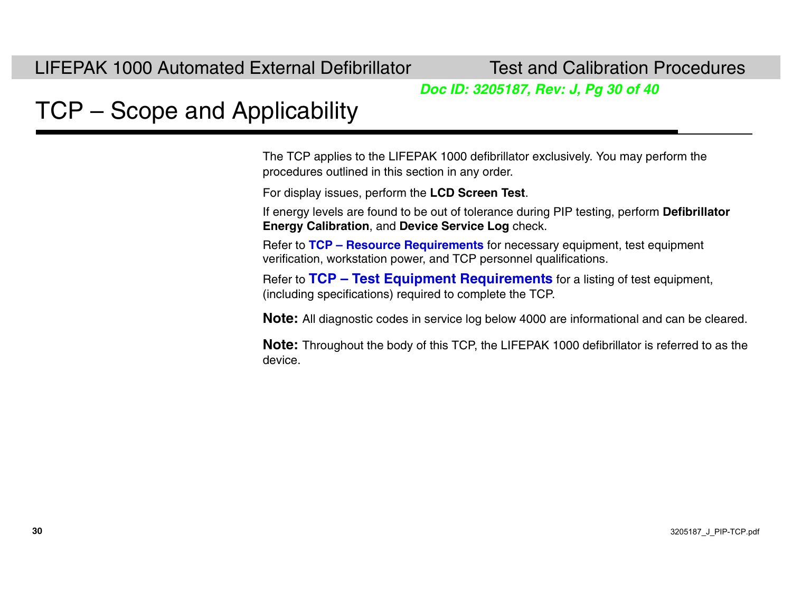*Doc ID: 3205187, Rev: J, Pg 30 of 40*

# <span id="page-29-0"></span>TCP – Scope and Applicability

The TCP applies to the LIFEPAK 1000 defibrillator exclusively. You may perform the procedures outlined in this section in any order.

For display issues, perform the **LCD Screen Test**.

If energy levels are found to be out of tolerance during PIP testing, perform **Defibrillator Energy Calibration**, and **Device Service Log** check.

Refer to **[TCP – Resource Requirements](#page-30-0)** for necessary equipment, test equipment verification, workstation power, and TCP personnel qualifications.

Refer to **[TCP – Test Equipment Requirements](#page-31-0)** for a listing of test equipment, (including specifications) required to complete the TCP.

**Note:** All diagnostic codes in service log below 4000 are informational and can be cleared.

**Note:** Throughout the body of this TCP, the LIFEPAK 1000 defibrillator is referred to as the device.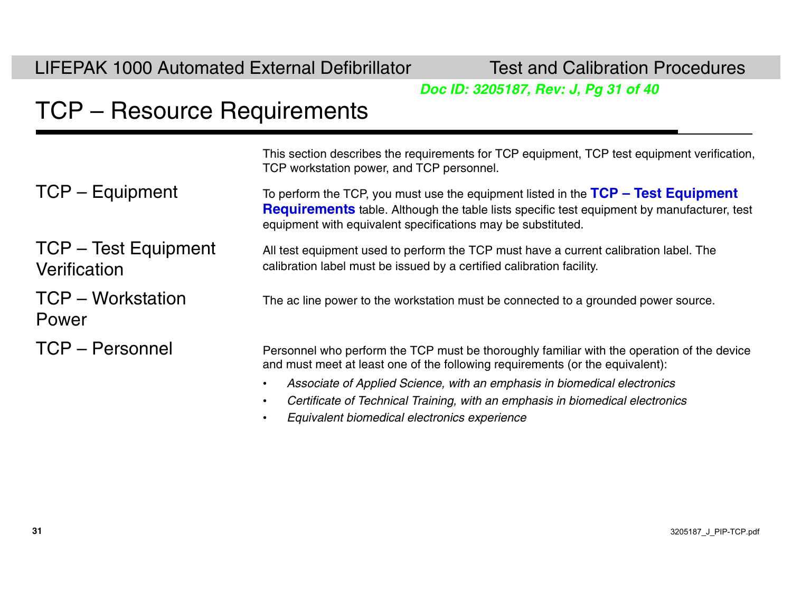*Doc ID: 3205187, Rev: J, Pg 31 of 40*

# <span id="page-30-0"></span>TCP – Resource Requirements

TCP – Test Equipment

TCP – Workstation

**Verification** 

Power

This section describes the requirements for TCP equipment, TCP test equipment verification, TCP workstation power, and TCP personnel.

TCP – Equipment To perform the TCP, you must use the equipment listed in the TCP – Test Equipment **[Requirements](#page-31-0)** table. Although the table lists specific test equipment by manufacturer, test equipment with equivalent specifications may be substituted.

> All test equipment used to perform the TCP must have a current calibration label. The calibration label must be issued by a certified calibration facility.

> The ac line power to the workstation must be connected to a grounded power source.

TCP – Personnel errors are resonnel who perform the TCP must be thoroughly familiar with the operation of the device and must meet at least one of the following requirements (or the equivalent):

- •*Associate of Applied Science, with an emphasis in biomedical electronics*
- •*Certificate of Technical Training, with an emphasis in biomedical electronics*
- •*Equivalent biomedical electronics experience*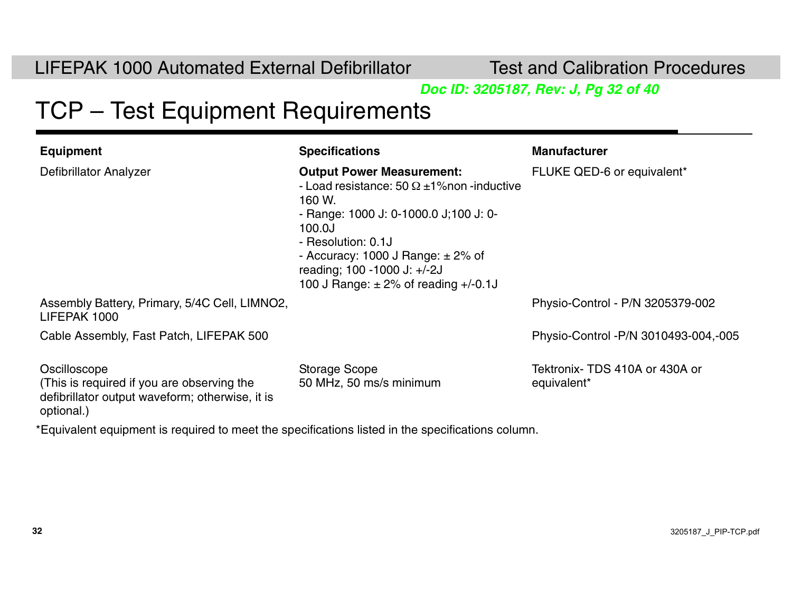**Test and Calibration Procedures** 

*Doc ID: 3205187, Rev: J, Pg 32 of 40*

### <span id="page-31-0"></span>TCP – Test Equipment Requirements

| <b>Equipment</b>                                                                                                            | <b>Specifications</b>                                                                                                                                                                                                                                                                           | <b>Manufacturer</b>                           |
|-----------------------------------------------------------------------------------------------------------------------------|-------------------------------------------------------------------------------------------------------------------------------------------------------------------------------------------------------------------------------------------------------------------------------------------------|-----------------------------------------------|
| Defibrillator Analyzer                                                                                                      | <b>Output Power Measurement:</b><br>- Load resistance: 50 $\Omega$ ±1% non-inductive<br>160 W.<br>- Range: 1000 J: 0-1000.0 J; 100 J: 0-<br>100.0J<br>- Resolution: 0.1J<br>- Accuracy: 1000 J Range: $\pm$ 2% of<br>reading; 100 -1000 J: +/-2J<br>100 J Range: $\pm$ 2% of reading $+/-0.1$ J | FLUKE QED-6 or equivalent*                    |
| Assembly Battery, Primary, 5/4C Cell, LIMNO2,<br>LIFEPAK 1000                                                               |                                                                                                                                                                                                                                                                                                 | Physio-Control - P/N 3205379-002              |
| Cable Assembly, Fast Patch, LIFEPAK 500                                                                                     |                                                                                                                                                                                                                                                                                                 | Physio-Control - P/N 3010493-004, -005        |
| Oscilloscope<br>(This is required if you are observing the<br>defibrillator output waveform; otherwise, it is<br>optional.) | <b>Storage Scope</b><br>50 MHz, 50 ms/s minimum                                                                                                                                                                                                                                                 | Tektronix- TDS 410A or 430A or<br>equivalent* |
| *Equivalent equipment is required to meet the specifications listed in the specifications column.                           |                                                                                                                                                                                                                                                                                                 |                                               |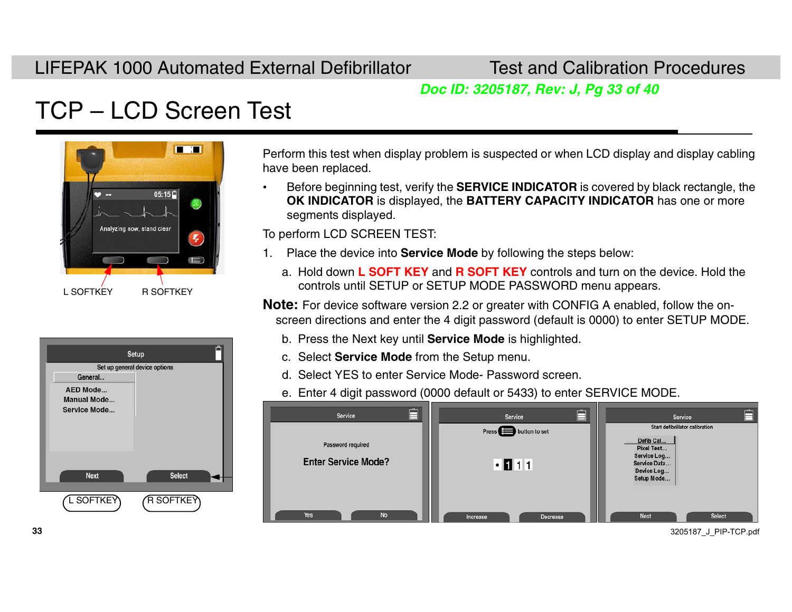*Doc ID: 3205187, Rev: J, Pg 33 of 40*

# <span id="page-32-1"></span>TCP – LCD Screen Test



| Setup                         |               |  |
|-------------------------------|---------------|--|
| Set up general device options |               |  |
| General                       |               |  |
| <b>AED Mode</b>               |               |  |
| <b>Manual Mode</b>            |               |  |
| Service Mode                  |               |  |
|                               |               |  |
|                               |               |  |
|                               |               |  |
|                               |               |  |
|                               |               |  |
| <b>Next</b>                   | <b>Select</b> |  |
|                               |               |  |
| L SOFTKEY                     | R SOFTKEY     |  |
|                               |               |  |

Perform this test when display problem is suspected or when LCD display and display cabling have been replaced.

• Before beginning test, verify the **SERVICE INDICATOR** is covered by black rectangle, the **OK INDICATOR** is displayed, the **BATTERY CAPACITY INDICATOR** has one or more segments displayed.

To perform LCD SCREEN TEST:

- 1. Place the device into **Service Mode** by following the steps below:
	- a. Hold down **L SOFT KEY** and **R SOFT KEY** controls and turn on the device. Hold the controls until SETUP or SETUP MODE PASSWORD menu appears.

**Note:** For device software version 2.2 or greater with CONFIG A enabled, follow the onscreen directions and enter the 4 digit password (default is 0000) to enter SETUP MODE.

- b. Press the Next key until **Service Mode** is highlighted.
- c. Select **Service Mode** from the Setup menu.
- d. Select YES to enter Service Mode- Password screen.
- e. Enter 4 digit password (0000 default or 5433) to enter SERVICE MODE.

| ⊟<br>Service                                    | Ė<br>Service<br>Press <sup>1</sup> button to set | <b>Service</b><br>Start defibrillator calibration                                  |
|-------------------------------------------------|--------------------------------------------------|------------------------------------------------------------------------------------|
| Password required<br><b>Enter Service Mode?</b> | .111                                             | Defib Cal<br>Pixel Test<br>Service Log<br>Service Data<br>Device Log<br>Setup Mode |
| Yes<br><b>No</b>                                | Increase<br>Decrease                             | Select<br><b>Next</b>                                                              |

<span id="page-32-0"></span>3205187\_J\_PIP-TCP.pdf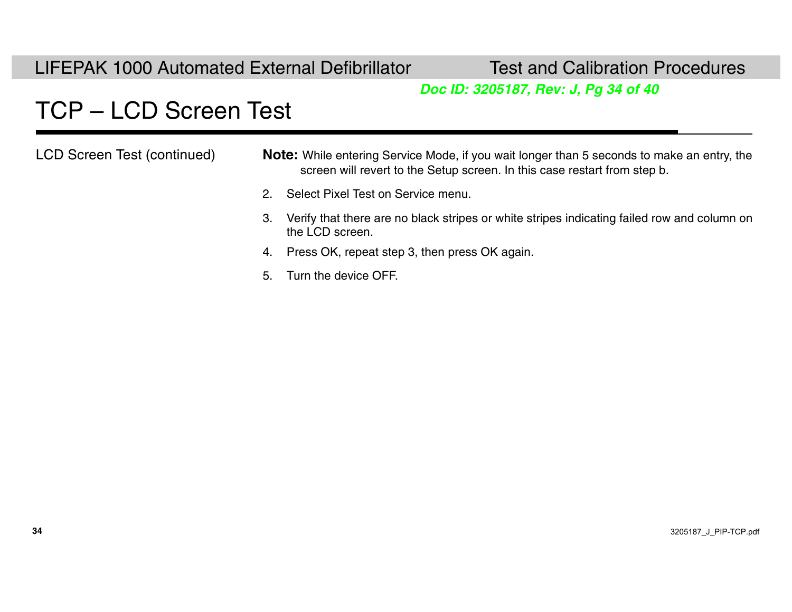**Test and Calibration Procedures** 

#### *Doc ID: 3205187, Rev: J, Pg 34 of 40*

## TCP – LCD Screen Test

| LCD Screen Test (continued) |    | <b>Note:</b> While entering Service Mode, if you wait longer than 5 seconds to make an entry, the<br>screen will revert to the Setup screen. In this case restart from step b. |  |
|-----------------------------|----|--------------------------------------------------------------------------------------------------------------------------------------------------------------------------------|--|
|                             | 2. | Select Pixel Test on Service menu.                                                                                                                                             |  |
|                             | 3. | Verify that there are no black stripes or white stripes indicating failed row and column on<br>the LCD screen.                                                                 |  |
|                             |    | 4. Press OK, repeat step 3, then press OK again.                                                                                                                               |  |
|                             |    | 5. Turn the device OFF.                                                                                                                                                        |  |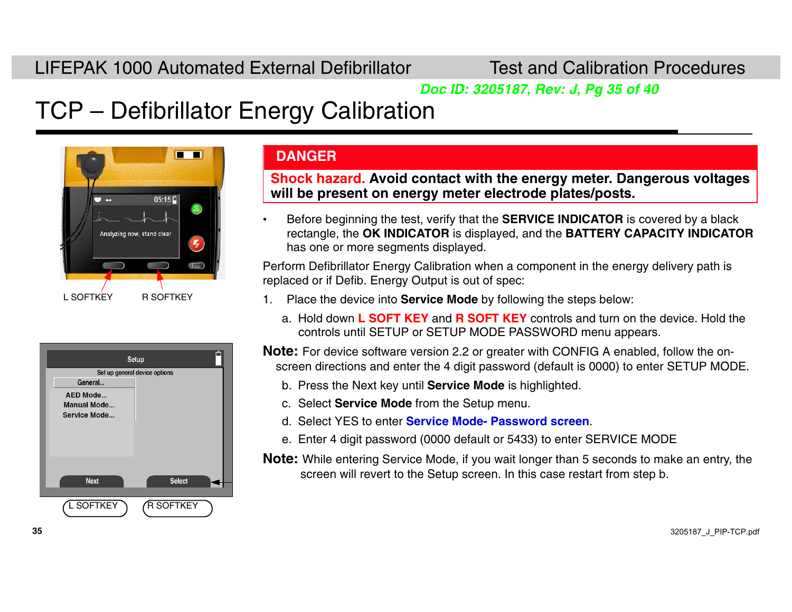*Doc ID: 3205187, Rev: J, Pg 35 of 40*

## TCP – Defibrillator Energy Calibration



|                               | Setup            |  |
|-------------------------------|------------------|--|
| Set up general device options |                  |  |
| General                       |                  |  |
| AED Mode                      |                  |  |
| <b>Manual Mode</b>            |                  |  |
| Service Mode                  |                  |  |
|                               |                  |  |
|                               |                  |  |
|                               |                  |  |
|                               |                  |  |
|                               |                  |  |
| <b>Next</b>                   | <b>Select</b>    |  |
|                               |                  |  |
| L SOFTKEY                     | <b>R SOFTKEY</b> |  |
|                               |                  |  |

#### **DANGER**

**Shock hazard. Avoid contact with the energy meter. Dangerous voltages will be present on energy meter electrode plates/posts.**

• Before beginning the test, verify that the **SERVICE INDICATOR** is covered by a black rectangle, the **OK INDICATOR** is displayed, and the **BATTERY CAPACITY INDICATOR**  has one or more segments displayed.

Perform Defibrillator Energy Calibration when a component in the energy delivery path is replaced or if Defib. Energy Output is out of spec:

- 1. Place the device into **Service Mode** by following the steps below:
	- a. Hold down **L SOFT KEY** and **R SOFT KEY** controls and turn on the device. Hold the controls until SETUP or SETUP MODE PASSWORD menu appears.

**Note:** For device software version 2.2 or greater with CONFIG A enabled, follow the onscreen directions and enter the 4 digit password (default is 0000) to enter SETUP MODE.

- b. Press the Next key until **Service Mode** is highlighted.
- c. Select **Service Mode** from the Setup menu.
- d. Select YES to enter **[Service Mode- Password screen](#page-32-1)**.
- e. Enter 4 digit password (0000 default or 5433) to enter SERVICE MODE

**Note:** While entering Service Mode, if you wait longer than 5 seconds to make an entry, the screen will revert to the Setup screen. In this case restart from step b.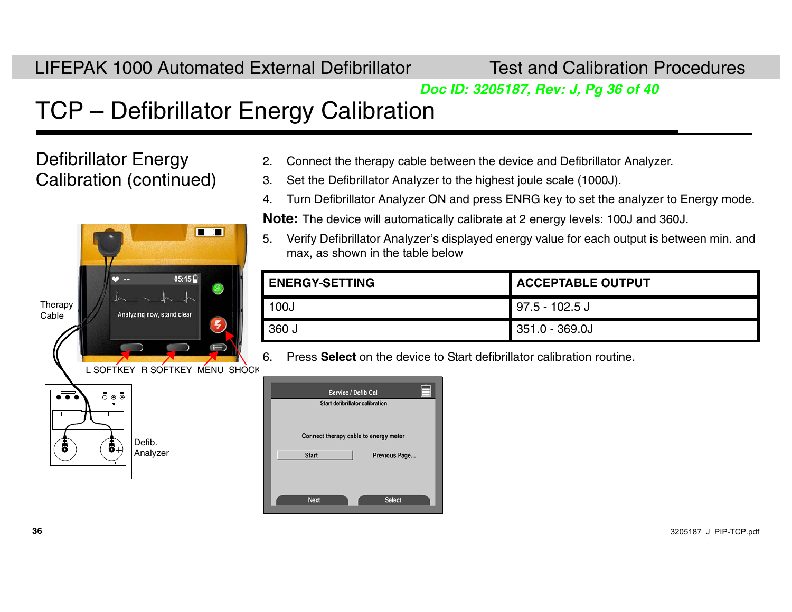*Doc ID: 3205187, Rev: J, Pg 36 of 40*

### TCP – Defibrillator Energy Calibration

Defibrillator Energy Calibration (continued)



- 2.Connect the therapy cable between the device and Defibrillator Analyzer.
- 3. Set the Defibrillator Analyzer to the highest joule scale (1000J).
- 4. Turn Defibrillator Analyzer ON and press ENRG key to set the analyzer to Energy mode.

**Note:** The device will automatically calibrate at 2 energy levels: 100J and 360J.

5. Verify Defibrillator Analyzer's displayed energy value for each output is between min. and max, as shown in the table below

| <b>ENERGY-SETTING</b> | ACCEPTABLE OUTPUT |
|-----------------------|-------------------|
| 100J                  | $97.5 - 102.5$ J  |
| $\sqrt{360}$ J        | $351.0 - 369.0J$  |

6. Press **Select** on the device to Start defibrillator calibration routine.

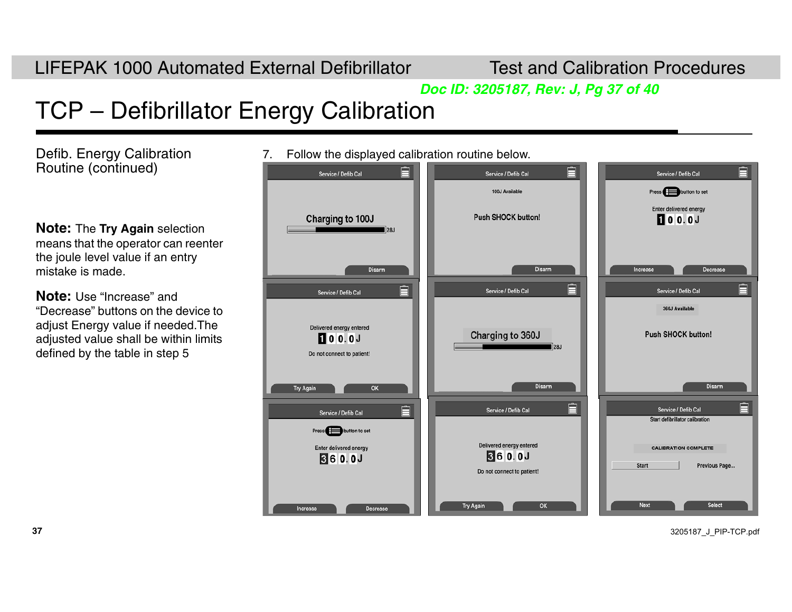*Doc ID: 3205187, Rev: J, Pg 37 of 40*

# TCP – Defibrillator Energy Calibration

Defib. Energy Calibration Routine (continued)

**Note:** The **Try Again** selection means that the operator can reenter the joule level value if an entry mistake is made.

**Note:** Use "Increase" and "Decrease" buttons on the device to adjust Energy value if needed.The adjusted value shall be within limits defined by the table in step 5

7. Follow the displayed calibration routine below.

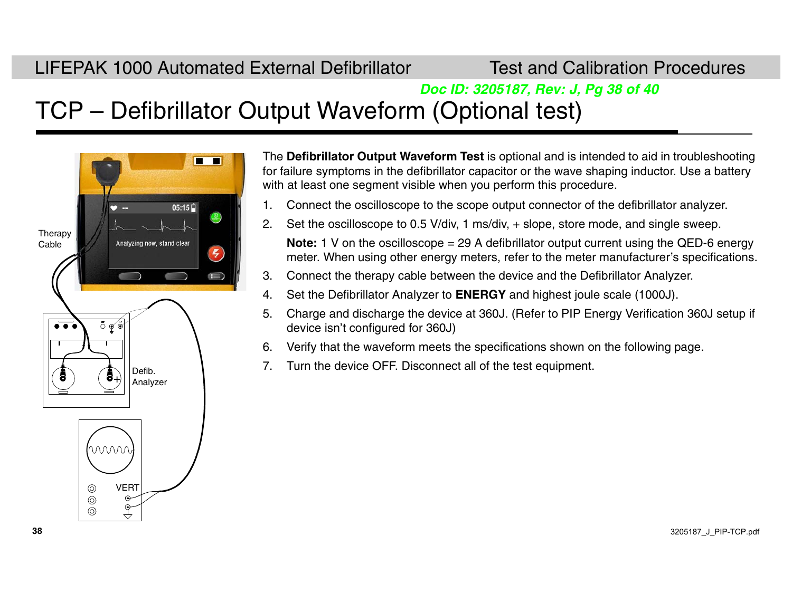#### *Doc ID: 3205187, Rev: J, Pg 38 of 40*

### TCP – Defibrillator Output Waveform (Optional test)



The **Defibrillator Output Waveform Test** is optional and is intended to aid in troubleshooting for failure symptoms in the defibrillator capacitor or the wave shaping inductor. Use a battery with at least one segment visible when you perform this procedure.

- 1. Connect the oscilloscope to the scope output connector of the defibrillator analyzer.
- 2. Set the oscilloscope to 0.5 V/div, 1 ms/div, + slope, store mode, and single sweep.

**Note:** 1 V on the oscilloscope = 29 A defibrillator output current using the QED-6 energy meter. When using other energy meters, refer to the meter manufacturer's specifications.

- 3. Connect the therapy cable between the device and the Defibrillator Analyzer.
- 4. Set the Defibrillator Analyzer to **ENERGY** and highest joule scale (1000J).
- 5. Charge and discharge the device at 360J. (Refer to PIP Energy Verification 360J setup if device isn't configured for 360J)
- 6. Verify that the waveform meets the specifications shown on the following page.
- 7. Turn the device OFF. Disconnect all of the test equipment.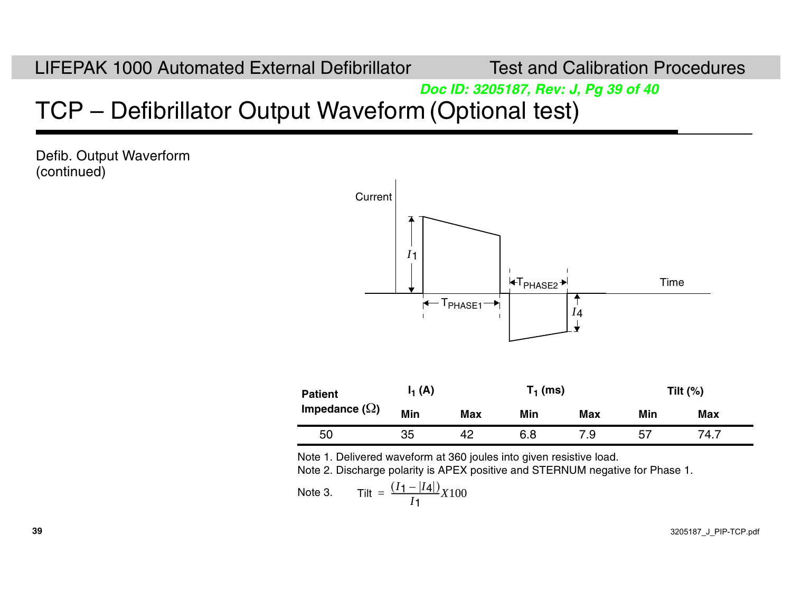#### *Doc ID: 3205187, Rev: J, Pg 39 of 40*

### TCP – Defibrillator Output Waveform (Optional test)

Defib. Output Waverform (continued)



Note 1. Delivered waveform at 360 joules into given resistive load.

Note 2. Discharge polarity is APEX positive and STERNUM negative for Phase 1.

Note 3. 
$$
\text{Title} = \frac{(I_1 - |I_4|)}{I_1} X 100
$$